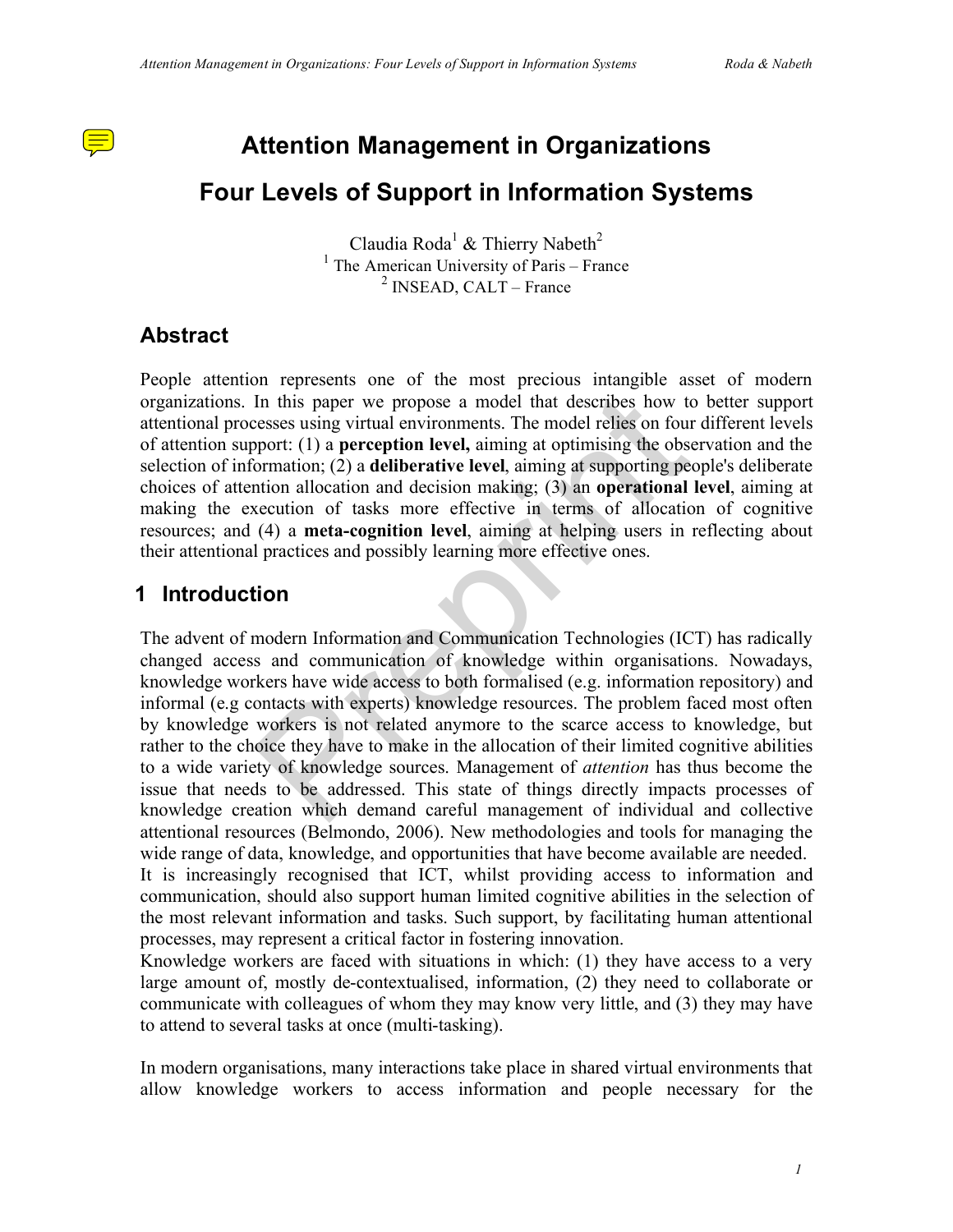

# **Attention Management in Organizations**

# **Four Levels of Support in Information Systems**

Claudia Roda<sup>1</sup> & Thierry Nabeth<sup>2</sup> <sup>1</sup> The American University of Paris – France  $2$  INSEAD, CALT – France

## **Abstract**

People attention represents one of the most precious intangible asset of modern organizations. In this paper we propose a model that describes how to better support attentional processes using virtual environments. The model relies on four different levels of attention support: (1) a **perception level,** aiming at optimising the observation and the selection of information; (2) a **deliberative level**, aiming at supporting people's deliberate choices of attention allocation and decision making; (3) an **operational level**, aiming at making the execution of tasks more effective in terms of allocation of cognitive resources; and (4) a **meta-cognition level**, aiming at helping users in reflecting about their attentional practices and possibly learning more effective ones.

### **1 Introduction**

The advent of modern Information and Communication Technologies (ICT) has radically changed access and communication of knowledge within organisations. Nowadays, knowledge workers have wide access to both formalised (e.g. information repository) and informal (e.g contacts with experts) knowledge resources. The problem faced most often by knowledge workers is not related anymore to the scarce access to knowledge, but rather to the choice they have to make in the allocation of their limited cognitive abilities to a wide variety of knowledge sources. Management of *attention* has thus become the issue that needs to be addressed. This state of things directly impacts processes of knowledge creation which demand careful management of individual and collective attentional resources (Belmondo, 2006). New methodologies and tools for managing the wide range of data, knowledge, and opportunities that have become available are needed. It is increasingly recognised that ICT, whilst providing access to information and communication, should also support human limited cognitive abilities in the selection of the most relevant information and tasks. Such support, by facilitating human attentional processes, may represent a critical factor in fostering innovation. In this paper we propose a model that describes how to<br>essese using virtual environments. The model relies on four<br>poort: (1) a **perception level**, aiming at optimising the obs<br>ormation; (2) a deliberative level, aiming at

Knowledge workers are faced with situations in which: (1) they have access to a very large amount of, mostly de-contextualised, information, (2) they need to collaborate or communicate with colleagues of whom they may know very little, and (3) they may have to attend to several tasks at once (multi-tasking).

In modern organisations, many interactions take place in shared virtual environments that allow knowledge workers to access information and people necessary for the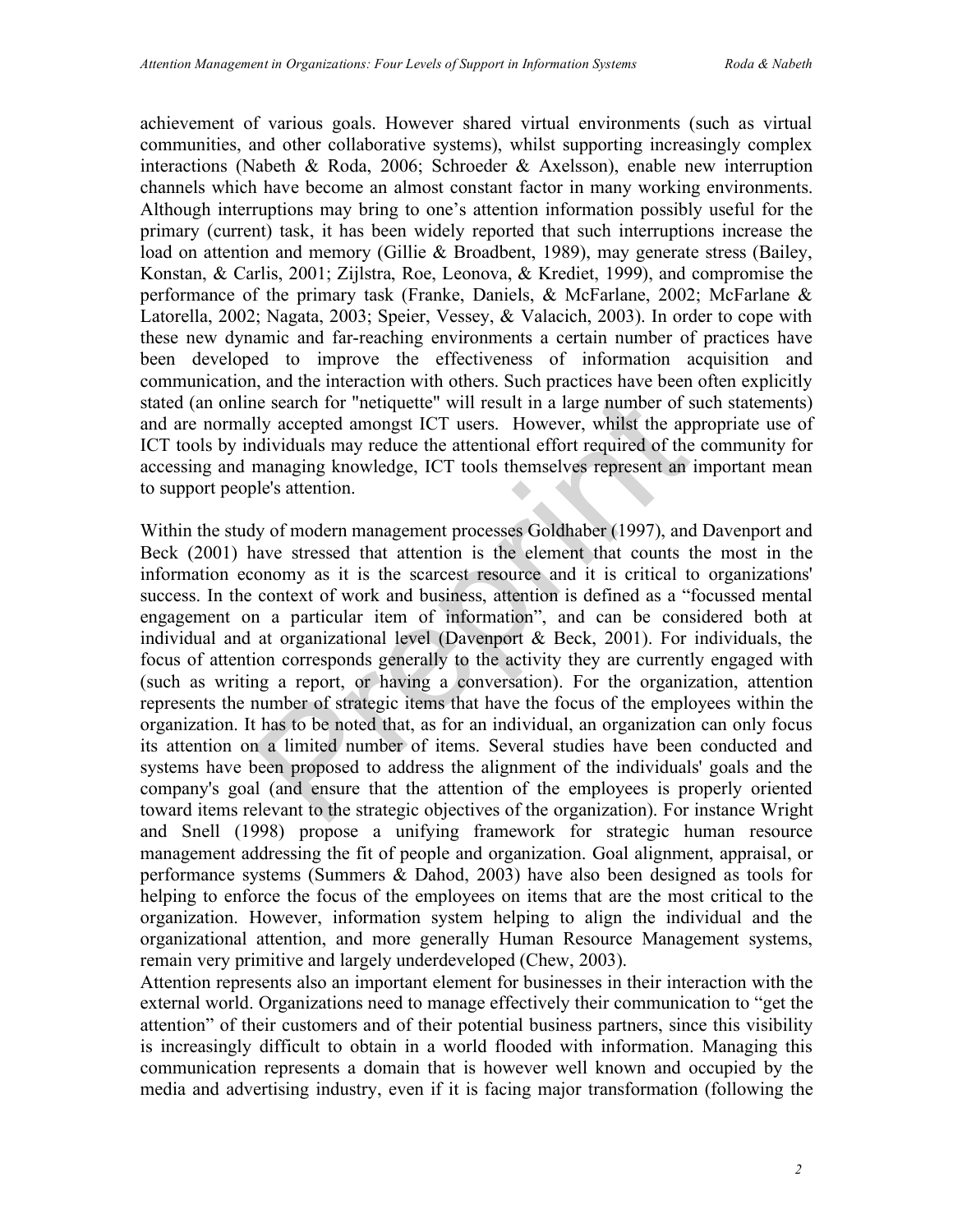achievement of various goals. However shared virtual environments (such as virtual communities, and other collaborative systems), whilst supporting increasingly complex interactions (Nabeth & Roda, 2006; Schroeder & Axelsson), enable new interruption channels which have become an almost constant factor in many working environments. Although interruptions may bring to one's attention information possibly useful for the primary (current) task, it has been widely reported that such interruptions increase the load on attention and memory (Gillie & Broadbent, 1989), may generate stress (Bailey, Konstan, & Carlis, 2001; Zijlstra, Roe, Leonova, & Krediet, 1999), and compromise the performance of the primary task (Franke, Daniels, & McFarlane, 2002; McFarlane & Latorella, 2002; Nagata, 2003; Speier, Vessey, & Valacich, 2003). In order to cope with these new dynamic and far-reaching environments a certain number of practices have been developed to improve the effectiveness of information acquisition and communication, and the interaction with others. Such practices have been often explicitly stated (an online search for "netiquette" will result in a large number of such statements) and are normally accepted amongst ICT users. However, whilst the appropriate use of ICT tools by individuals may reduce the attentional effort required of the community for accessing and managing knowledge, ICT tools themselves represent an important mean to support people's attention.

Within the study of modern management processes Goldhaber (1997), and Davenport and Beck (2001) have stressed that attention is the element that counts the most in the information economy as it is the scarcest resource and it is critical to organizations' success. In the context of work and business, attention is defined as a "focussed mental engagement on a particular item of information", and can be considered both at individual and at organizational level (Davenport & Beck, 2001). For individuals, the focus of attention corresponds generally to the activity they are currently engaged with (such as writing a report, or having a conversation). For the organization, attention represents the number of strategic items that have the focus of the employees within the organization. It has to be noted that, as for an individual, an organization can only focus its attention on a limited number of items. Several studies have been conducted and systems have been proposed to address the alignment of the individuals' goals and the company's goal (and ensure that the attention of the employees is properly oriented toward items relevant to the strategic objectives of the organization). For instance Wright and Snell (1998) propose a unifying framework for strategic human resource management addressing the fit of people and organization. Goal alignment, appraisal, or performance systems (Summers & Dahod, 2003) have also been designed as tools for helping to enforce the focus of the employees on items that are the most critical to the organization. However, information system helping to align the individual and the organizational attention, and more generally Human Resource Management systems, remain very primitive and largely underdeveloped (Chew, 2003). is exact for "netiquette" will result in a large number of s<br>ly accepted amongst ICT users. However, whilst the ap<br>dividuals may reduce the attentional effort required of the<br>managing knowledge, ICT tools themselves repres

Attention represents also an important element for businesses in their interaction with the external world. Organizations need to manage effectively their communication to "get the attention" of their customers and of their potential business partners, since this visibility is increasingly difficult to obtain in a world flooded with information. Managing this communication represents a domain that is however well known and occupied by the media and advertising industry, even if it is facing major transformation (following the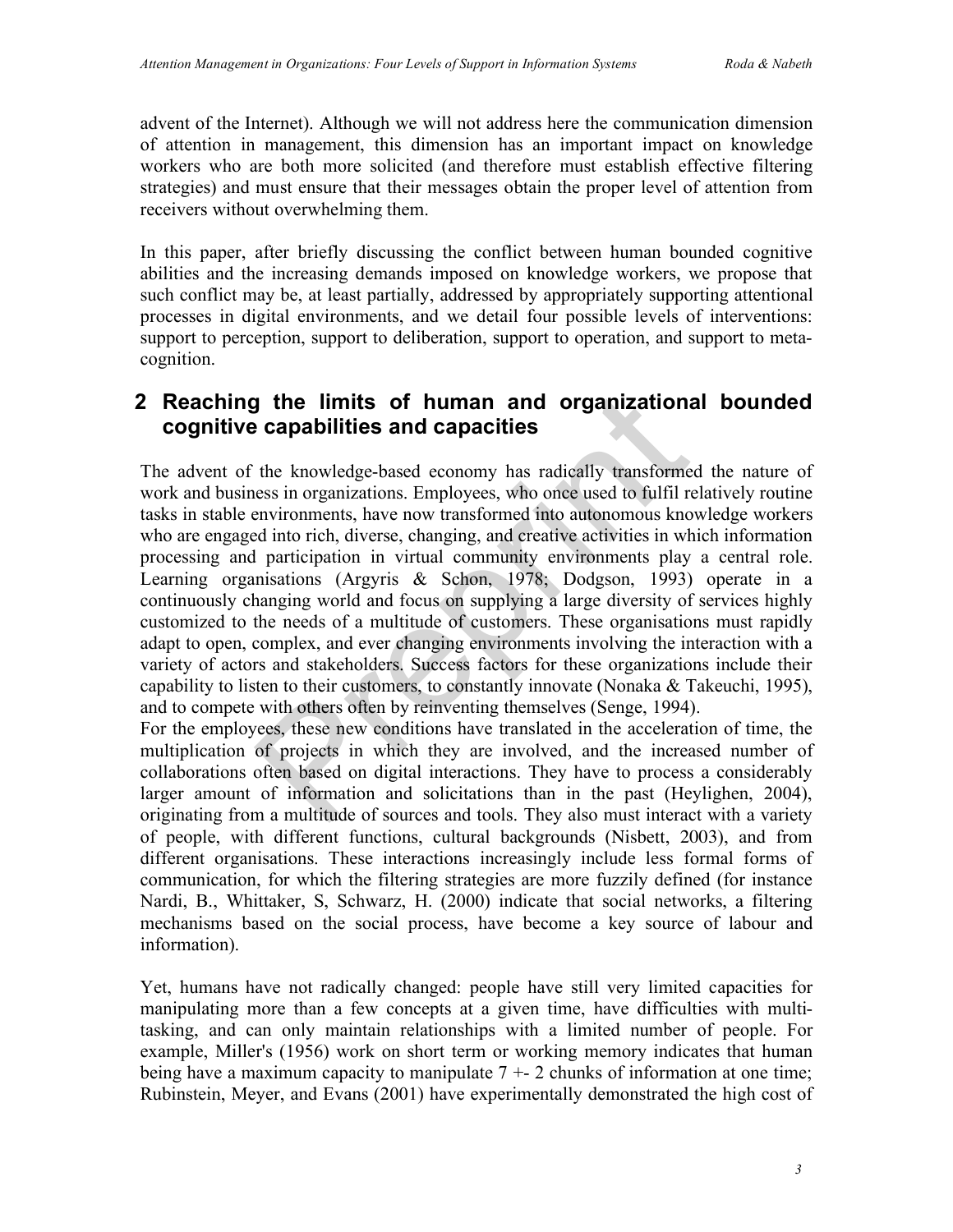advent of the Internet). Although we will not address here the communication dimension of attention in management, this dimension has an important impact on knowledge workers who are both more solicited (and therefore must establish effective filtering strategies) and must ensure that their messages obtain the proper level of attention from receivers without overwhelming them.

In this paper, after briefly discussing the conflict between human bounded cognitive abilities and the increasing demands imposed on knowledge workers, we propose that such conflict may be, at least partially, addressed by appropriately supporting attentional processes in digital environments, and we detail four possible levels of interventions: support to perception, support to deliberation, support to operation, and support to metacognition.

# **2 Reaching the limits of human and organizational bounded cognitive capabilities and capacities**

The advent of the knowledge-based economy has radically transformed the nature of work and business in organizations. Employees, who once used to fulfil relatively routine tasks in stable environments, have now transformed into autonomous knowledge workers who are engaged into rich, diverse, changing, and creative activities in which information processing and participation in virtual community environments play a central role. Learning organisations (Argyris & Schon, 1978; Dodgson, 1993) operate in a continuously changing world and focus on supplying a large diversity of services highly customized to the needs of a multitude of customers. These organisations must rapidly adapt to open, complex, and ever changing environments involving the interaction with a variety of actors and stakeholders. Success factors for these organizations include their capability to listen to their customers, to constantly innovate (Nonaka & Takeuchi, 1995), and to compete with others often by reinventing themselves (Senge, 1994). **1) the limits of human and organization:**<br> **expabilities and capacities**<br>
the knowledge-based economy has radically transforme<br>
ess in organizations. Employees, who once used to fulfil r<br>
environments, have now transform

For the employees, these new conditions have translated in the acceleration of time, the multiplication of projects in which they are involved, and the increased number of collaborations often based on digital interactions. They have to process a considerably larger amount of information and solicitations than in the past (Heylighen, 2004), originating from a multitude of sources and tools. They also must interact with a variety of people, with different functions, cultural backgrounds (Nisbett, 2003), and from different organisations. These interactions increasingly include less formal forms of communication, for which the filtering strategies are more fuzzily defined (for instance Nardi, B., Whittaker, S, Schwarz, H. (2000) indicate that social networks, a filtering mechanisms based on the social process, have become a key source of labour and information).

Yet, humans have not radically changed: people have still very limited capacities for manipulating more than a few concepts at a given time, have difficulties with multitasking, and can only maintain relationships with a limited number of people. For example, Miller's (1956) work on short term or working memory indicates that human being have a maximum capacity to manipulate  $7 + 2$  chunks of information at one time; Rubinstein, Meyer, and Evans (2001) have experimentally demonstrated the high cost of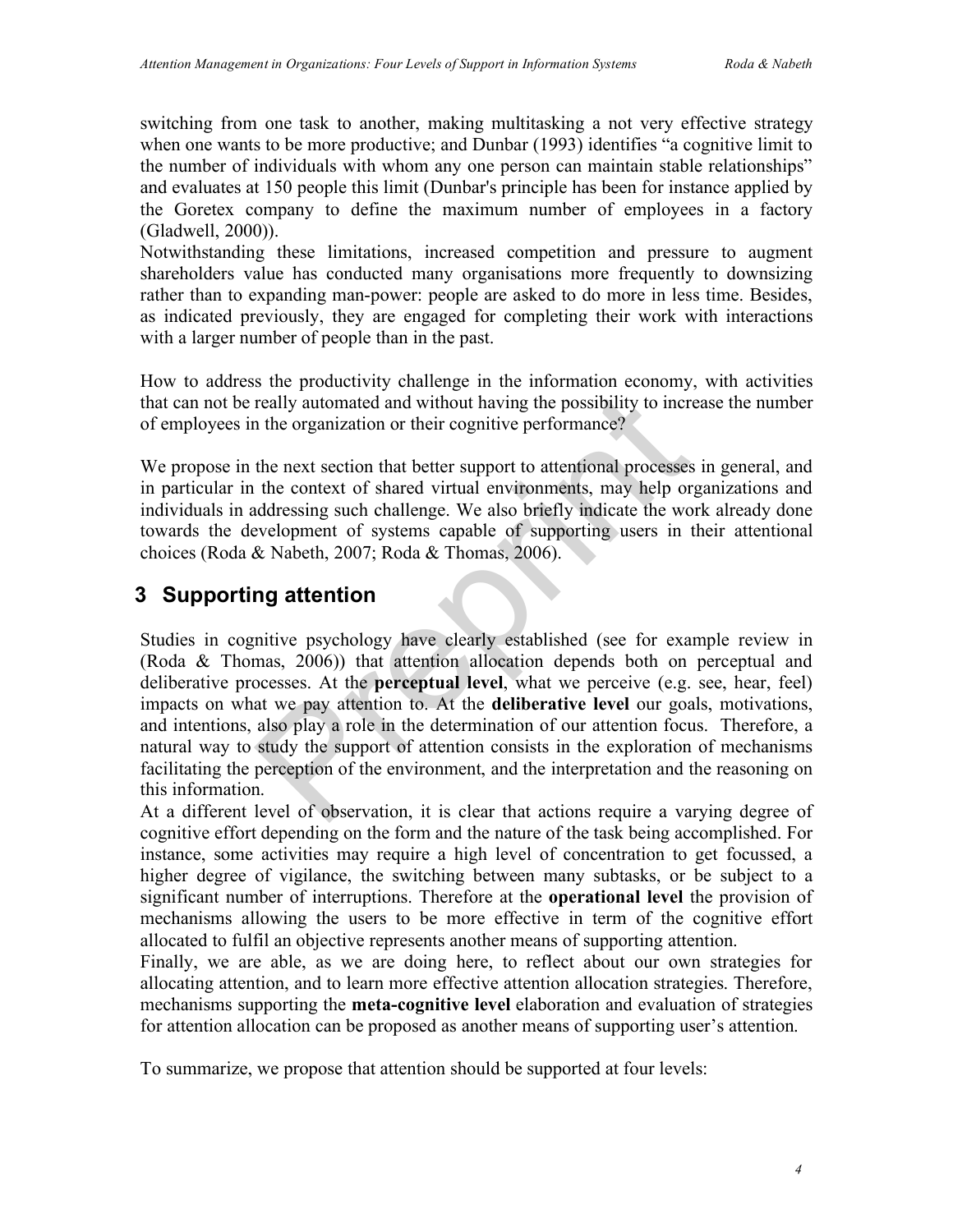switching from one task to another, making multitasking a not very effective strategy when one wants to be more productive; and Dunbar (1993) identifies "a cognitive limit to the number of individuals with whom any one person can maintain stable relationships" and evaluates at 150 people this limit (Dunbar's principle has been for instance applied by the Goretex company to define the maximum number of employees in a factory (Gladwell, 2000)).

Notwithstanding these limitations, increased competition and pressure to augment shareholders value has conducted many organisations more frequently to downsizing rather than to expanding man-power: people are asked to do more in less time. Besides, as indicated previously, they are engaged for completing their work with interactions with a larger number of people than in the past.

How to address the productivity challenge in the information economy, with activities that can not be really automated and without having the possibility to increase the number of employees in the organization or their cognitive performance?

We propose in the next section that better support to attentional processes in general, and in particular in the context of shared virtual environments, may help organizations and individuals in addressing such challenge. We also briefly indicate the work already done towards the development of systems capable of supporting users in their attentional choices (Roda & Nabeth, 2007; Roda & Thomas, 2006).

# **3 Supporting attention**

Studies in cognitive psychology have clearly established (see for example review in (Roda & Thomas, 2006)) that attention allocation depends both on perceptual and deliberative processes. At the **perceptual level**, what we perceive (e.g. see, hear, feel) impacts on what we pay attention to. At the **deliberative level** our goals, motivations, and intentions, also play a role in the determination of our attention focus. Therefore, a natural way to study the support of attention consists in the exploration of mechanisms facilitating the perception of the environment, and the interpretation and the reasoning on this information. really automated and without having the possibility to increase the organization or their cognitive performance?<br>
the next section that better support to attentional processes<br>
the context of shared virtual environments,

At a different level of observation, it is clear that actions require a varying degree of cognitive effort depending on the form and the nature of the task being accomplished. For instance, some activities may require a high level of concentration to get focussed, a higher degree of vigilance, the switching between many subtasks, or be subject to a significant number of interruptions. Therefore at the **operational level** the provision of mechanisms allowing the users to be more effective in term of the cognitive effort allocated to fulfil an objective represents another means of supporting attention.

Finally, we are able, as we are doing here, to reflect about our own strategies for allocating attention, and to learn more effective attention allocation strategies. Therefore, mechanisms supporting the **meta-cognitive level** elaboration and evaluation of strategies for attention allocation can be proposed as another means of supporting user's attention.

To summarize, we propose that attention should be supported at four levels: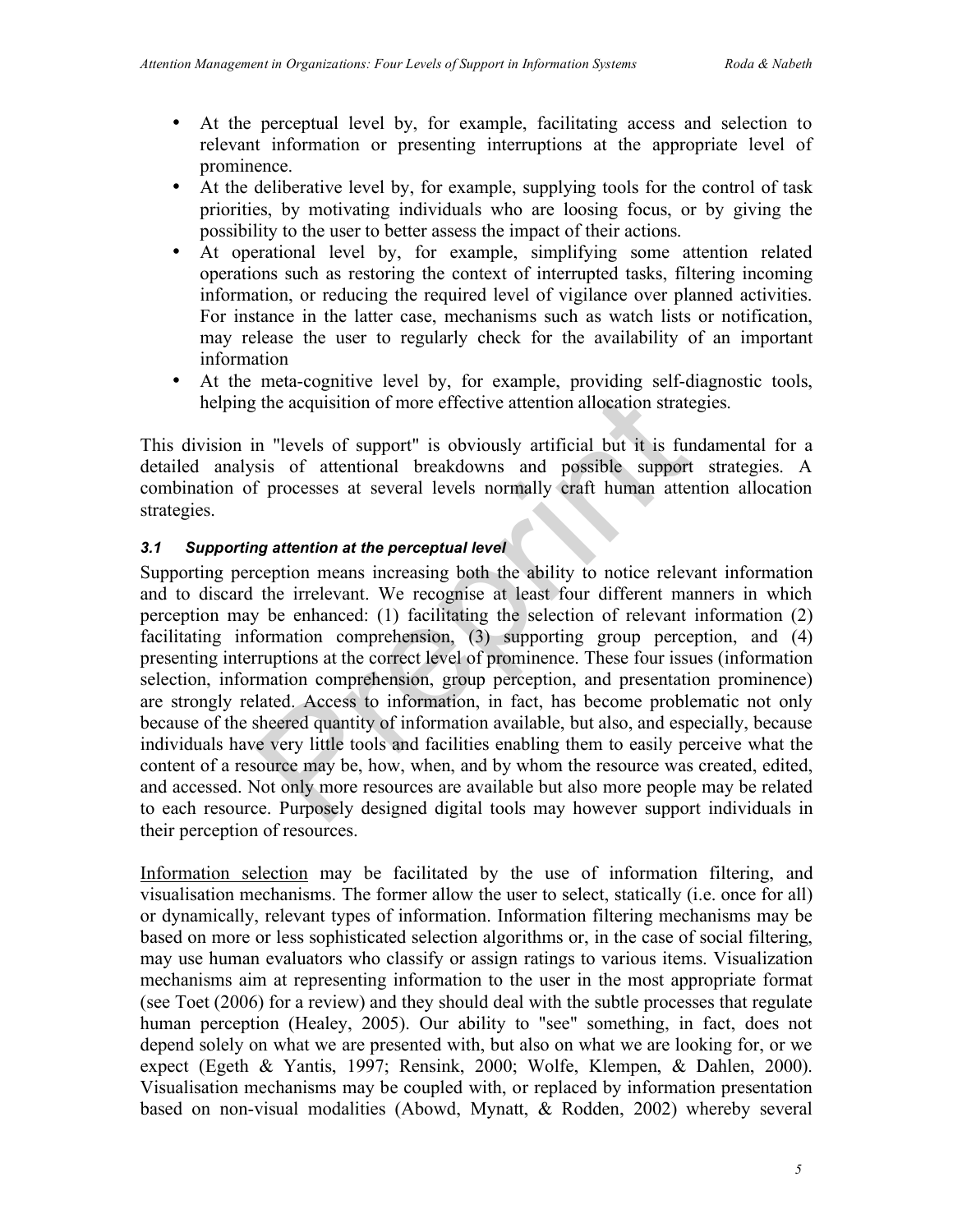- At the perceptual level by, for example, facilitating access and selection to relevant information or presenting interruptions at the appropriate level of prominence.
- At the deliberative level by, for example, supplying tools for the control of task priorities, by motivating individuals who are loosing focus, or by giving the possibility to the user to better assess the impact of their actions.
- At operational level by, for example, simplifying some attention related operations such as restoring the context of interrupted tasks, filtering incoming information, or reducing the required level of vigilance over planned activities. For instance in the latter case, mechanisms such as watch lists or notification, may release the user to regularly check for the availability of an important information
- At the meta-cognitive level by, for example, providing self-diagnostic tools, helping the acquisition of more effective attention allocation strategies.

This division in "levels of support" is obviously artificial but it is fundamental for a detailed analysis of attentional breakdowns and possible support strategies. A combination of processes at several levels normally craft human attention allocation strategies.

### *3.1 Supporting attention at the perceptual level*

Supporting perception means increasing both the ability to notice relevant information and to discard the irrelevant. We recognise at least four different manners in which perception may be enhanced: (1) facilitating the selection of relevant information (2) facilitating information comprehension, (3) supporting group perception, and (4) presenting interruptions at the correct level of prominence. These four issues (information selection, information comprehension, group perception, and presentation prominence) are strongly related. Access to information, in fact, has become problematic not only because of the sheered quantity of information available, but also, and especially, because individuals have very little tools and facilities enabling them to easily perceive what the content of a resource may be, how, when, and by whom the resource was created, edited, and accessed. Not only more resources are available but also more people may be related to each resource. Purposely designed digital tools may however support individuals in their perception of resources. is the acquisition of more effective attention allocation strate<br>
n "levels of support" is obviously artificial but it is function<br>
sis of attentional breakdowns and possible support<br>
f processes at several levels normally

Information selection may be facilitated by the use of information filtering, and visualisation mechanisms. The former allow the user to select, statically (i.e. once for all) or dynamically, relevant types of information. Information filtering mechanisms may be based on more or less sophisticated selection algorithms or, in the case of social filtering, may use human evaluators who classify or assign ratings to various items. Visualization mechanisms aim at representing information to the user in the most appropriate format (see Toet (2006) for a review) and they should deal with the subtle processes that regulate human perception (Healey, 2005). Our ability to "see" something, in fact, does not depend solely on what we are presented with, but also on what we are looking for, or we expect (Egeth & Yantis, 1997; Rensink, 2000; Wolfe, Klempen, & Dahlen, 2000). Visualisation mechanisms may be coupled with, or replaced by information presentation based on non-visual modalities (Abowd, Mynatt, & Rodden, 2002) whereby several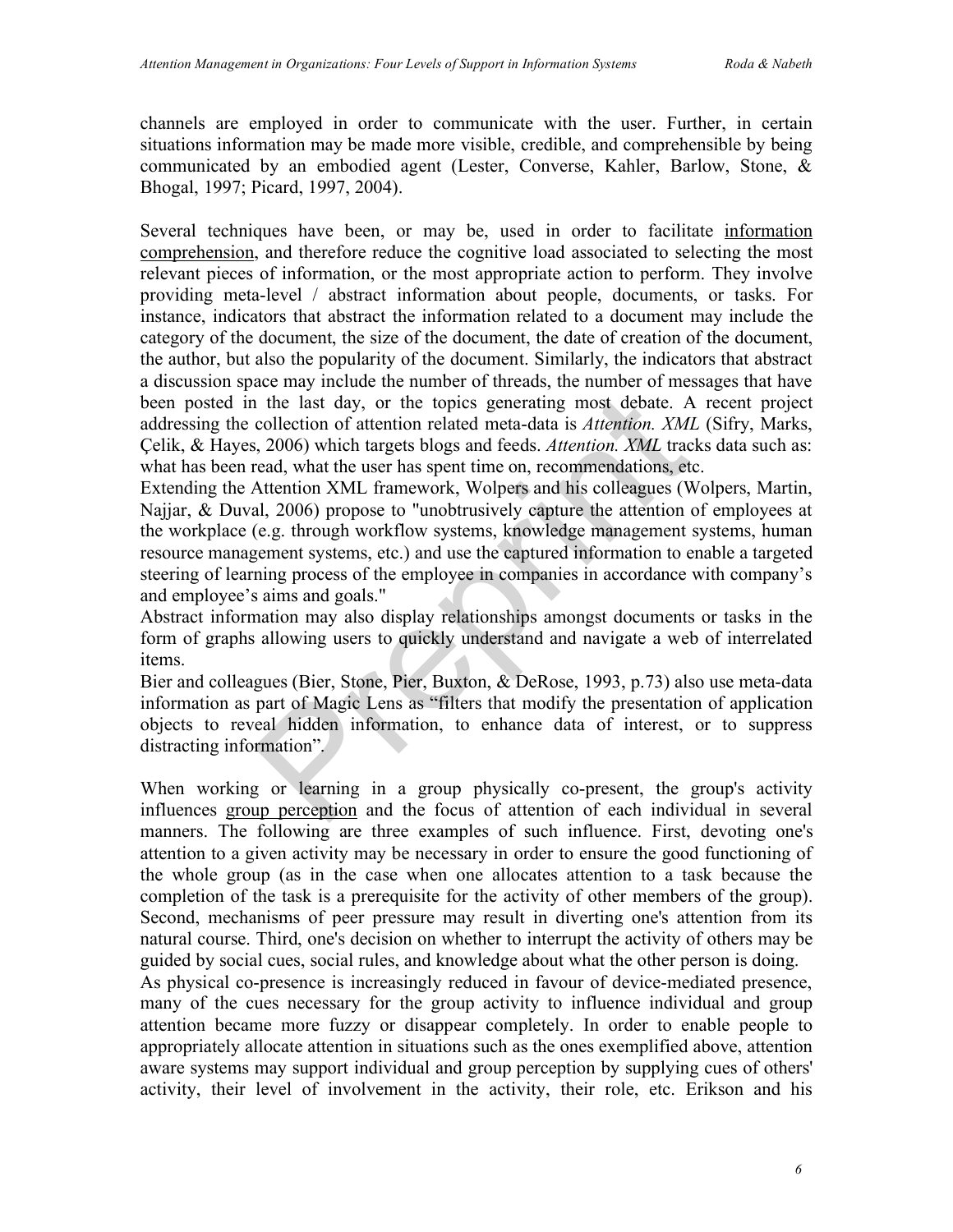channels are employed in order to communicate with the user. Further, in certain situations information may be made more visible, credible, and comprehensible by being communicated by an embodied agent (Lester, Converse, Kahler, Barlow, Stone, & Bhogal, 1997; Picard, 1997, 2004).

Several techniques have been, or may be, used in order to facilitate information comprehension, and therefore reduce the cognitive load associated to selecting the most relevant pieces of information, or the most appropriate action to perform. They involve providing meta-level / abstract information about people, documents, or tasks. For instance, indicators that abstract the information related to a document may include the category of the document, the size of the document, the date of creation of the document, the author, but also the popularity of the document. Similarly, the indicators that abstract a discussion space may include the number of threads, the number of messages that have been posted in the last day, or the topics generating most debate. A recent project addressing the collection of attention related meta-data is *Attention. XML* (Sifry, Marks, Çelik, & Hayes, 2006) which targets blogs and feeds. *Attention. XML* tracks data such as: what has been read, what the user has spent time on, recommendations, etc.

Extending the Attention XML framework, Wolpers and his colleagues (Wolpers, Martin, Najjar, & Duval, 2006) propose to "unobtrusively capture the attention of employees at the workplace (e.g. through workflow systems, knowledge management systems, human resource management systems, etc.) and use the captured information to enable a targeted steering of learning process of the employee in companies in accordance with company's and employee's aims and goals." 1 the last day, or the topics generating most debate. A collection of attention related meta-data is *Attention. XML* is, 2006) which targets blogs and feeds. *Attention. XML* tracead, what the user has spent time on, reco

Abstract information may also display relationships amongst documents or tasks in the form of graphs allowing users to quickly understand and navigate a web of interrelated items.

Bier and colleagues (Bier, Stone, Pier, Buxton, & DeRose, 1993, p.73) also use meta-data information as part of Magic Lens as "filters that modify the presentation of application objects to reveal hidden information, to enhance data of interest, or to suppress distracting information".

When working or learning in a group physically co-present, the group's activity influences group perception and the focus of attention of each individual in several manners. The following are three examples of such influence. First, devoting one's attention to a given activity may be necessary in order to ensure the good functioning of the whole group (as in the case when one allocates attention to a task because the completion of the task is a prerequisite for the activity of other members of the group). Second, mechanisms of peer pressure may result in diverting one's attention from its natural course. Third, one's decision on whether to interrupt the activity of others may be guided by social cues, social rules, and knowledge about what the other person is doing.

As physical co-presence is increasingly reduced in favour of device-mediated presence, many of the cues necessary for the group activity to influence individual and group attention became more fuzzy or disappear completely. In order to enable people to appropriately allocate attention in situations such as the ones exemplified above, attention aware systems may support individual and group perception by supplying cues of others' activity, their level of involvement in the activity, their role, etc. Erikson and his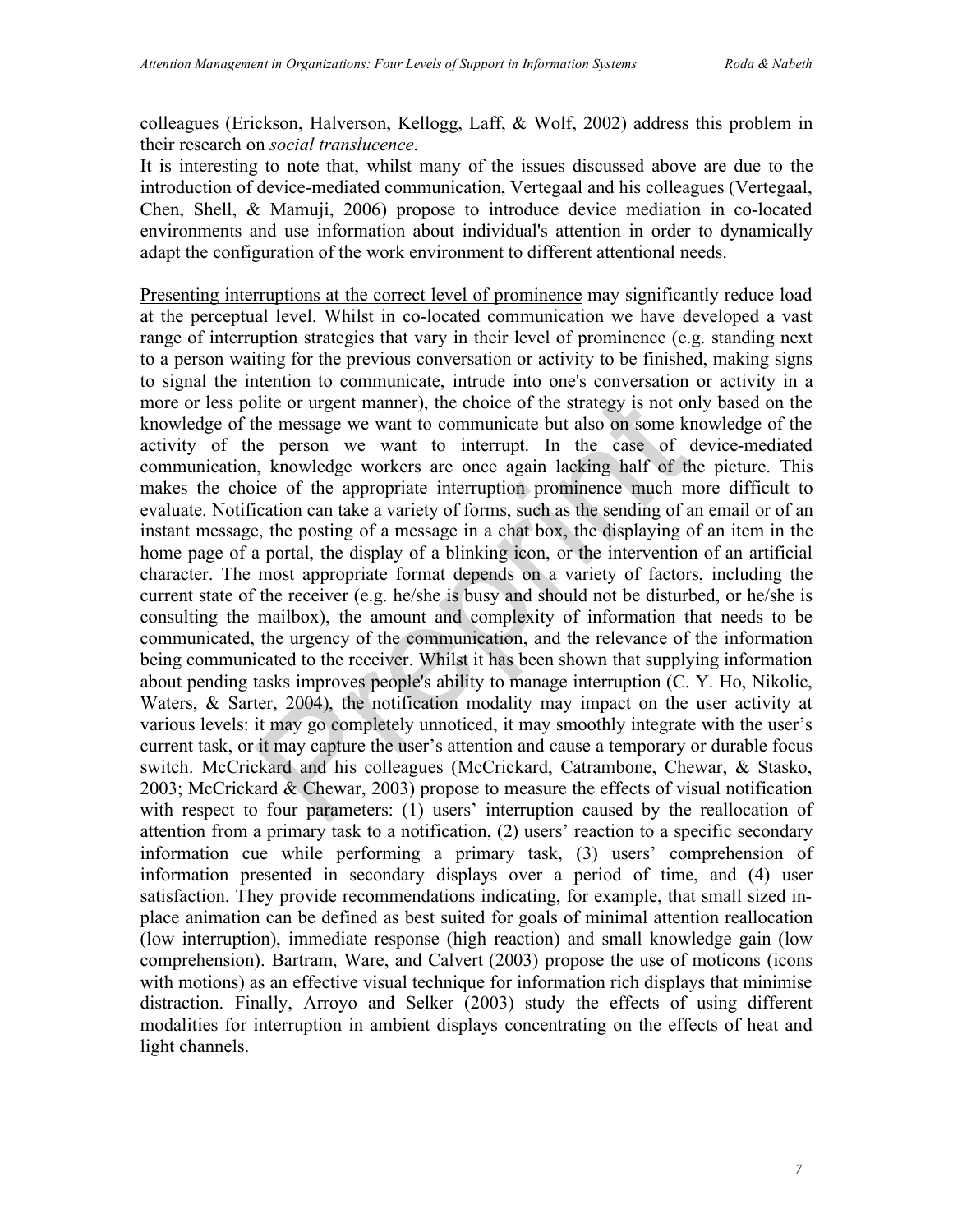colleagues (Erickson, Halverson, Kellogg, Laff, & Wolf, 2002) address this problem in their research on *social translucence*.

It is interesting to note that, whilst many of the issues discussed above are due to the introduction of device-mediated communication, Vertegaal and his colleagues (Vertegaal, Chen, Shell, & Mamuji, 2006) propose to introduce device mediation in co-located environments and use information about individual's attention in order to dynamically adapt the configuration of the work environment to different attentional needs.

Presenting interruptions at the correct level of prominence may significantly reduce load at the perceptual level. Whilst in co-located communication we have developed a vast range of interruption strategies that vary in their level of prominence (e.g. standing next to a person waiting for the previous conversation or activity to be finished, making signs to signal the intention to communicate, intrude into one's conversation or activity in a more or less polite or urgent manner), the choice of the strategy is not only based on the knowledge of the message we want to communicate but also on some knowledge of the activity of the person we want to interrupt. In the case of device-mediated communication, knowledge workers are once again lacking half of the picture. This makes the choice of the appropriate interruption prominence much more difficult to evaluate. Notification can take a variety of forms, such as the sending of an email or of an instant message, the posting of a message in a chat box, the displaying of an item in the home page of a portal, the display of a blinking icon, or the intervention of an artificial character. The most appropriate format depends on a variety of factors, including the current state of the receiver (e.g. he/she is busy and should not be disturbed, or he/she is consulting the mailbox), the amount and complexity of information that needs to be communicated, the urgency of the communication, and the relevance of the information being communicated to the receiver. Whilst it has been shown that supplying information about pending tasks improves people's ability to manage interruption (C. Y. Ho, Nikolic, Waters, & Sarter, 2004), the notification modality may impact on the user activity at various levels: it may go completely unnoticed, it may smoothly integrate with the user's current task, or it may capture the user's attention and cause a temporary or durable focus switch. McCrickard and his colleagues (McCrickard, Catrambone, Chewar, & Stasko, 2003; McCrickard & Chewar, 2003) propose to measure the effects of visual notification with respect to four parameters: (1) users' interruption caused by the reallocation of attention from a primary task to a notification, (2) users' reaction to a specific secondary information cue while performing a primary task, (3) users' comprehension of information presented in secondary displays over a period of time, and (4) user satisfaction. They provide recommendations indicating, for example, that small sized inplace animation can be defined as best suited for goals of minimal attention reallocation (low interruption), immediate response (high reaction) and small knowledge gain (low comprehension). Bartram, Ware, and Calvert (2003) propose the use of moticons (icons with motions) as an effective visual technique for information rich displays that minimise distraction. Finally, Arroyo and Selker (2003) study the effects of using different modalities for interruption in ambient displays concentrating on the effects of heat and light channels. blite or urgent manner), the choice of the strategy is not on<br>the message we want to communicate but also on some kie<br>e person we want to interrupt. In the case of<br>i, knowledge workers are once again lacking half of th<br>ice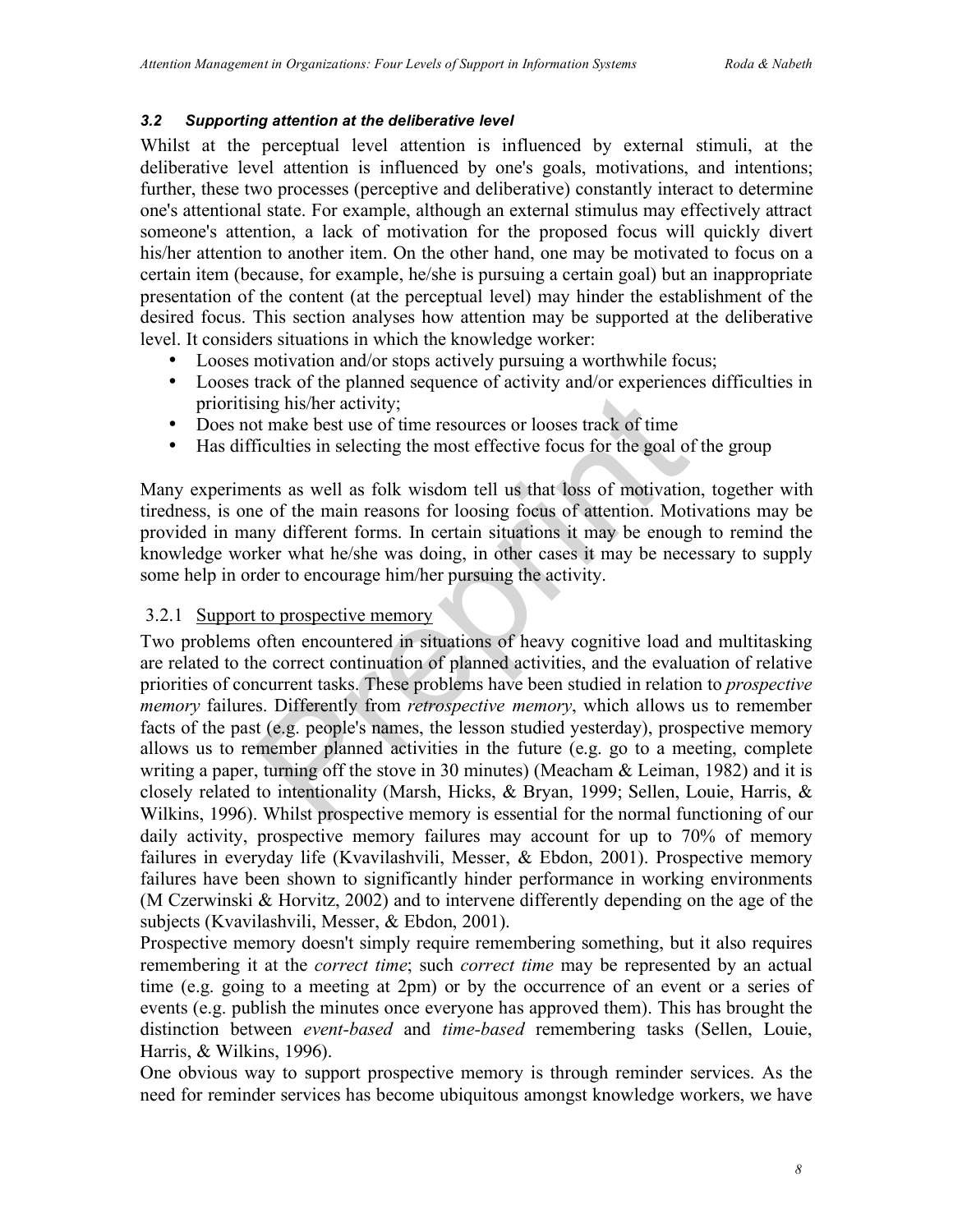### *3.2 Supporting attention at the deliberative level*

Whilst at the perceptual level attention is influenced by external stimuli, at the deliberative level attention is influenced by one's goals, motivations, and intentions; further, these two processes (perceptive and deliberative) constantly interact to determine one's attentional state. For example, although an external stimulus may effectively attract someone's attention, a lack of motivation for the proposed focus will quickly divert his/her attention to another item. On the other hand, one may be motivated to focus on a certain item (because, for example, he/she is pursuing a certain goal) but an inappropriate presentation of the content (at the perceptual level) may hinder the establishment of the desired focus. This section analyses how attention may be supported at the deliberative level. It considers situations in which the knowledge worker:

- Looses motivation and/or stops actively pursuing a worthwhile focus;
- Looses track of the planned sequence of activity and/or experiences difficulties in prioritising his/her activity;
- Does not make best use of time resources or looses track of time
- Has difficulties in selecting the most effective focus for the goal of the group

Many experiments as well as folk wisdom tell us that loss of motivation, together with tiredness, is one of the main reasons for loosing focus of attention. Motivations may be provided in many different forms. In certain situations it may be enough to remind the knowledge worker what he/she was doing, in other cases it may be necessary to supply some help in order to encourage him/her pursuing the activity.

### 3.2.1 Support to prospective memory

Two problems often encountered in situations of heavy cognitive load and multitasking are related to the correct continuation of planned activities, and the evaluation of relative priorities of concurrent tasks. These problems have been studied in relation to *prospective memory* failures. Differently from *retrospective memory*, which allows us to remember facts of the past (e.g. people's names, the lesson studied yesterday), prospective memory allows us to remember planned activities in the future (e.g. go to a meeting, complete writing a paper, turning off the stove in 30 minutes) (Meacham & Leiman, 1982) and it is closely related to intentionality (Marsh, Hicks, & Bryan, 1999; Sellen, Louie, Harris, & Wilkins, 1996). Whilst prospective memory is essential for the normal functioning of our daily activity, prospective memory failures may account for up to 70% of memory failures in everyday life (Kvavilashvili, Messer, & Ebdon, 2001). Prospective memory failures have been shown to significantly hinder performance in working environments (M Czerwinski & Horvitz, 2002) and to intervene differently depending on the age of the subjects (Kvavilashvili, Messer, & Ebdon, 2001). ing his/her activity;<br>the make best use of time resources or looses track of time<br>ficulties in selecting the most effective focus for the goal of<br>ents as well as folk wisdom tell us that loss of motivatio<br>e of the main re

Prospective memory doesn't simply require remembering something, but it also requires remembering it at the *correct time*; such *correct time* may be represented by an actual time (e.g. going to a meeting at 2pm) or by the occurrence of an event or a series of events (e.g. publish the minutes once everyone has approved them). This has brought the distinction between *event-based* and *time-based* remembering tasks (Sellen, Louie, Harris, & Wilkins, 1996).

One obvious way to support prospective memory is through reminder services. As the need for reminder services has become ubiquitous amongst knowledge workers, we have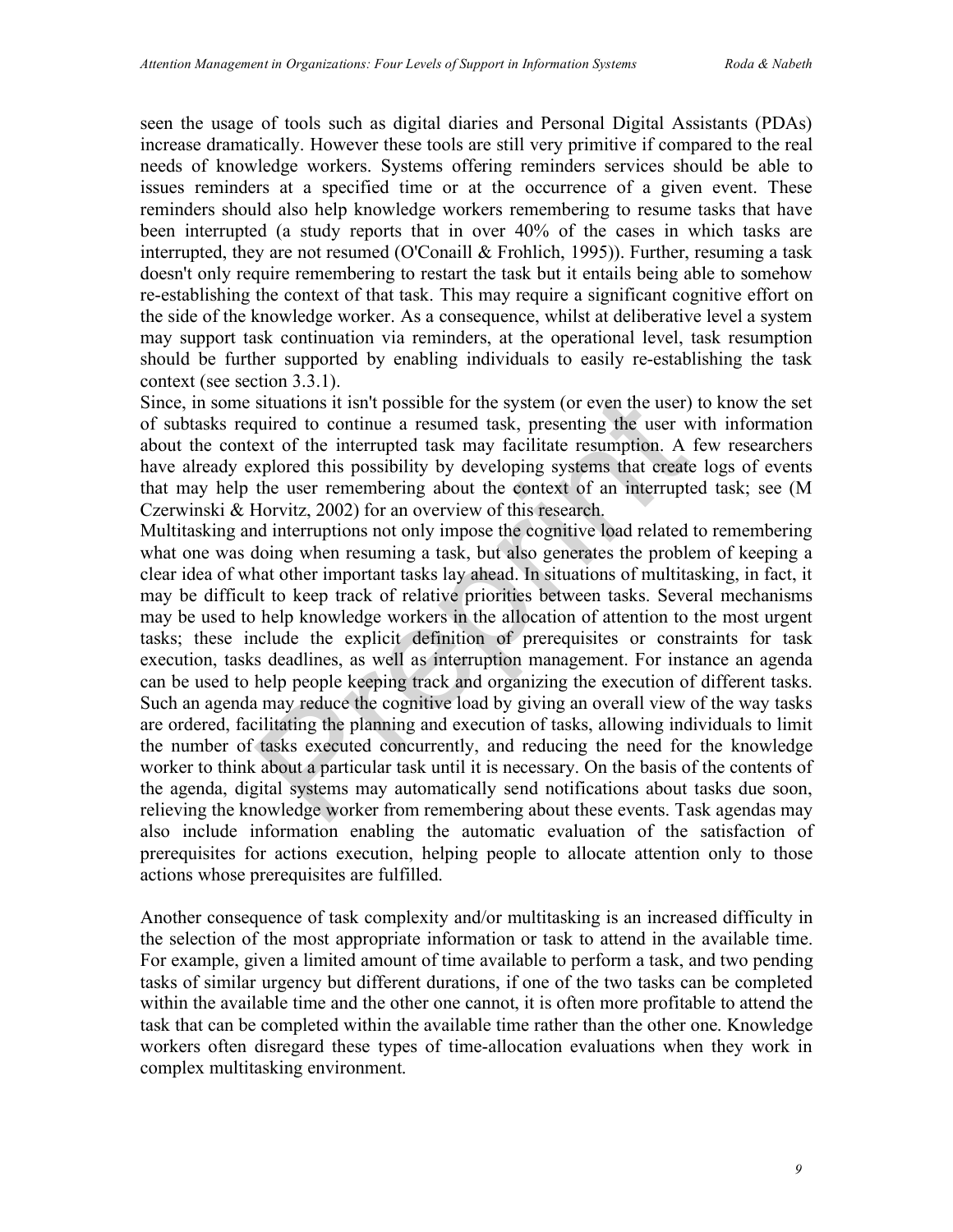seen the usage of tools such as digital diaries and Personal Digital Assistants (PDAs) increase dramatically. However these tools are still very primitive if compared to the real needs of knowledge workers. Systems offering reminders services should be able to issues reminders at a specified time or at the occurrence of a given event. These reminders should also help knowledge workers remembering to resume tasks that have been interrupted (a study reports that in over 40% of the cases in which tasks are interrupted, they are not resumed (O'Conaill & Frohlich, 1995)). Further, resuming a task doesn't only require remembering to restart the task but it entails being able to somehow re-establishing the context of that task. This may require a significant cognitive effort on the side of the knowledge worker. As a consequence, whilst at deliberative level a system may support task continuation via reminders, at the operational level, task resumption should be further supported by enabling individuals to easily re-establishing the task context (see section 3.3.1).

Since, in some situations it isn't possible for the system (or even the user) to know the set of subtasks required to continue a resumed task, presenting the user with information about the context of the interrupted task may facilitate resumption. A few researchers have already explored this possibility by developing systems that create logs of events that may help the user remembering about the context of an interrupted task; see (M Czerwinski & Horvitz, 2002) for an overview of this research.

Multitasking and interruptions not only impose the cognitive load related to remembering what one was doing when resuming a task, but also generates the problem of keeping a clear idea of what other important tasks lay ahead. In situations of multitasking, in fact, it may be difficult to keep track of relative priorities between tasks. Several mechanisms may be used to help knowledge workers in the allocation of attention to the most urgent tasks; these include the explicit definition of prerequisites or constraints for task execution, tasks deadlines, as well as interruption management. For instance an agenda can be used to help people keeping track and organizing the execution of different tasks. Such an agenda may reduce the cognitive load by giving an overall view of the way tasks are ordered, facilitating the planning and execution of tasks, allowing individuals to limit the number of tasks executed concurrently, and reducing the need for the knowledge worker to think about a particular task until it is necessary. On the basis of the contents of the agenda, digital systems may automatically send notifications about tasks due soon, relieving the knowledge worker from remembering about these events. Task agendas may also include information enabling the automatic evaluation of the satisfaction of prerequisites for actions execution, helping people to allocate attention only to those actions whose prerequisites are fulfilled. situations it isn't possible for the system (or even the user)<br>quired to continue a resumed task, presenting the user v<br>ext of the interrupted task may facilitate resumption. A<br>xplored this possibility by developing system

Another consequence of task complexity and/or multitasking is an increased difficulty in the selection of the most appropriate information or task to attend in the available time. For example, given a limited amount of time available to perform a task, and two pending tasks of similar urgency but different durations, if one of the two tasks can be completed within the available time and the other one cannot, it is often more profitable to attend the task that can be completed within the available time rather than the other one. Knowledge workers often disregard these types of time-allocation evaluations when they work in complex multitasking environment.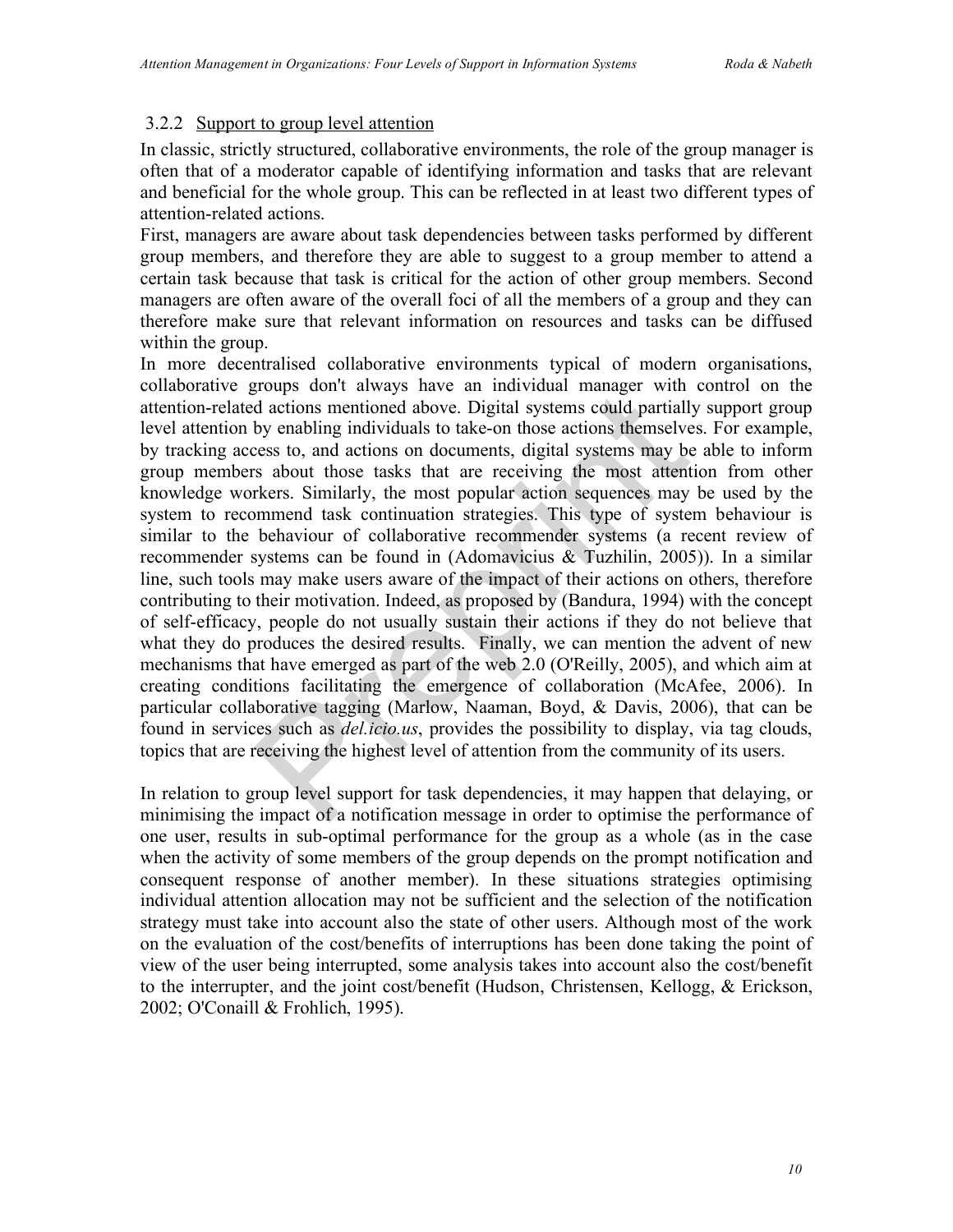### 3.2.2 Support to group level attention

In classic, strictly structured, collaborative environments, the role of the group manager is often that of a moderator capable of identifying information and tasks that are relevant and beneficial for the whole group. This can be reflected in at least two different types of attention-related actions.

First, managers are aware about task dependencies between tasks performed by different group members, and therefore they are able to suggest to a group member to attend a certain task because that task is critical for the action of other group members. Second managers are often aware of the overall foci of all the members of a group and they can therefore make sure that relevant information on resources and tasks can be diffused within the group.

In more decentralised collaborative environments typical of modern organisations, collaborative groups don't always have an individual manager with control on the attention-related actions mentioned above. Digital systems could partially support group level attention by enabling individuals to take-on those actions themselves. For example, by tracking access to, and actions on documents, digital systems may be able to inform group members about those tasks that are receiving the most attention from other knowledge workers. Similarly, the most popular action sequences may be used by the system to recommend task continuation strategies. This type of system behaviour is similar to the behaviour of collaborative recommender systems (a recent review of recommender systems can be found in (Adomavicius  $\&$  Tuzhilin, 2005)). In a similar line, such tools may make users aware of the impact of their actions on others, therefore contributing to their motivation. Indeed, as proposed by (Bandura, 1994) with the concept of self-efficacy, people do not usually sustain their actions if they do not believe that what they do produces the desired results. Finally, we can mention the advent of new mechanisms that have emerged as part of the web 2.0 (O'Reilly, 2005), and which aim at creating conditions facilitating the emergence of collaboration (McAfee, 2006). In particular collaborative tagging (Marlow, Naaman, Boyd, & Davis, 2006), that can be found in services such as *del.icio.us*, provides the possibility to display, via tag clouds, topics that are receiving the highest level of attention from the community of its users. From the dividend and manner and the detions mentioned above. Digital systems could partiall<br>by enabling individuals to take-on those actions themselve<br>eess to, and actions on documents, digital systems may be<br>s about tho

In relation to group level support for task dependencies, it may happen that delaying, or minimising the impact of a notification message in order to optimise the performance of one user, results in sub-optimal performance for the group as a whole (as in the case when the activity of some members of the group depends on the prompt notification and consequent response of another member). In these situations strategies optimising individual attention allocation may not be sufficient and the selection of the notification strategy must take into account also the state of other users. Although most of the work on the evaluation of the cost/benefits of interruptions has been done taking the point of view of the user being interrupted, some analysis takes into account also the cost/benefit to the interrupter, and the joint cost/benefit (Hudson, Christensen, Kellogg, & Erickson, 2002; O'Conaill & Frohlich, 1995).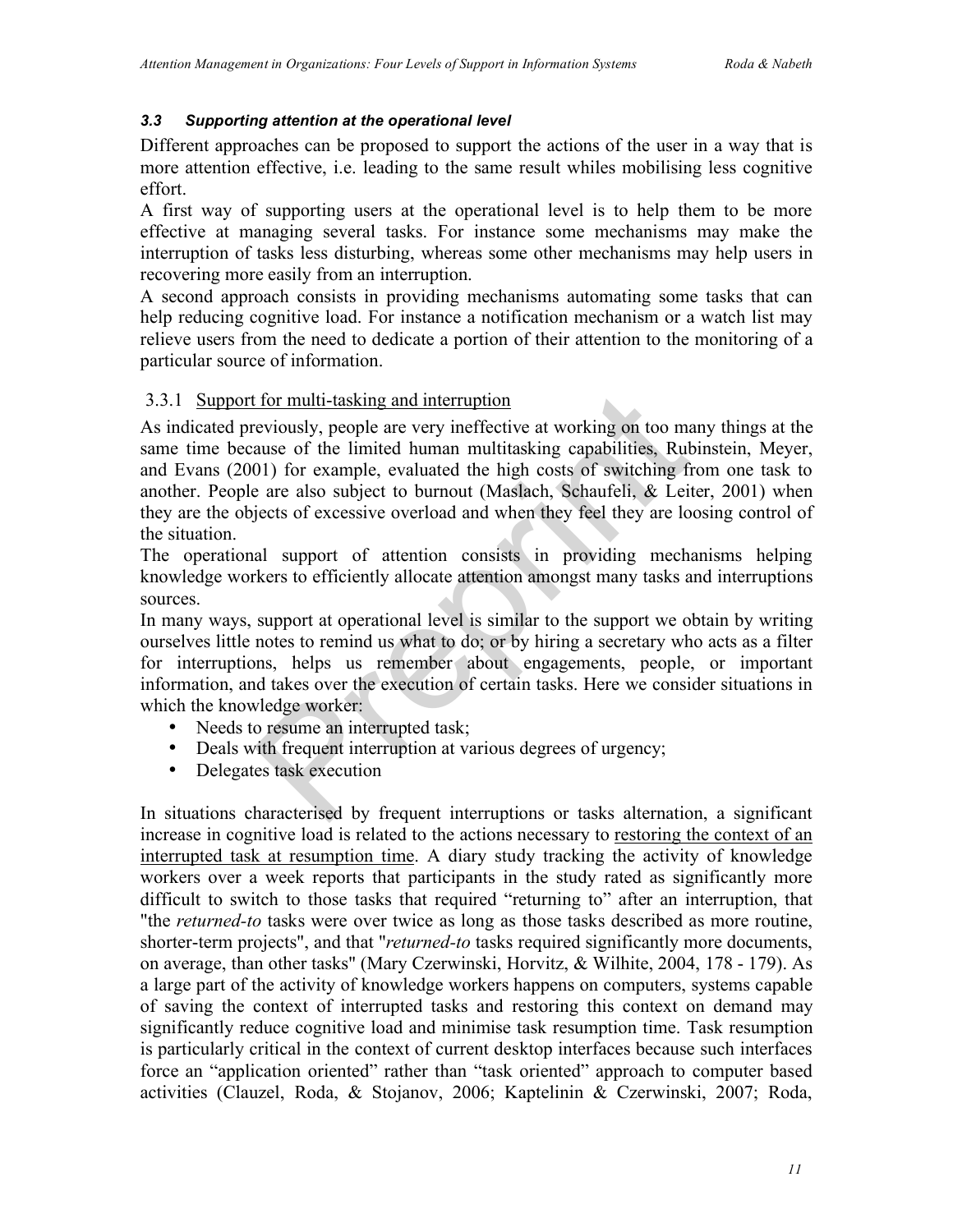### *3.3 Supporting attention at the operational level*

Different approaches can be proposed to support the actions of the user in a way that is more attention effective, i.e. leading to the same result whiles mobilising less cognitive effort.

A first way of supporting users at the operational level is to help them to be more effective at managing several tasks. For instance some mechanisms may make the interruption of tasks less disturbing, whereas some other mechanisms may help users in recovering more easily from an interruption.

A second approach consists in providing mechanisms automating some tasks that can help reducing cognitive load. For instance a notification mechanism or a watch list may relieve users from the need to dedicate a portion of their attention to the monitoring of a particular source of information.

### 3.3.1 Support for multi-tasking and interruption

As indicated previously, people are very ineffective at working on too many things at the same time because of the limited human multitasking capabilities, Rubinstein, Meyer, and Evans (2001) for example, evaluated the high costs of switching from one task to another. People are also subject to burnout (Maslach, Schaufeli, & Leiter, 2001) when they are the objects of excessive overload and when they feel they are loosing control of the situation. If or multi-tasking and interruption<br>eviously, people are very ineffective at working on too mause of the limited human multitasking capabilities, Ru<br>01) for example, evaluated the high costs of switching fie are also subj

The operational support of attention consists in providing mechanisms helping knowledge workers to efficiently allocate attention amongst many tasks and interruptions sources.

In many ways, support at operational level is similar to the support we obtain by writing ourselves little notes to remind us what to do; or by hiring a secretary who acts as a filter for interruptions, helps us remember about engagements, people, or important information, and takes over the execution of certain tasks. Here we consider situations in which the knowledge worker:

- Needs to resume an interrupted task;
- Deals with frequent interruption at various degrees of urgency;
- Delegates task execution

In situations characterised by frequent interruptions or tasks alternation, a significant increase in cognitive load is related to the actions necessary to restoring the context of an interrupted task at resumption time. A diary study tracking the activity of knowledge workers over a week reports that participants in the study rated as significantly more difficult to switch to those tasks that required "returning to" after an interruption, that "the *returned-to* tasks were over twice as long as those tasks described as more routine, shorter-term projects", and that "*returned-to* tasks required significantly more documents, on average, than other tasks" (Mary Czerwinski, Horvitz, & Wilhite, 2004, 178 - 179). As a large part of the activity of knowledge workers happens on computers, systems capable of saving the context of interrupted tasks and restoring this context on demand may significantly reduce cognitive load and minimise task resumption time. Task resumption is particularly critical in the context of current desktop interfaces because such interfaces force an "application oriented" rather than "task oriented" approach to computer based activities (Clauzel, Roda, & Stojanov, 2006; Kaptelinin & Czerwinski, 2007; Roda,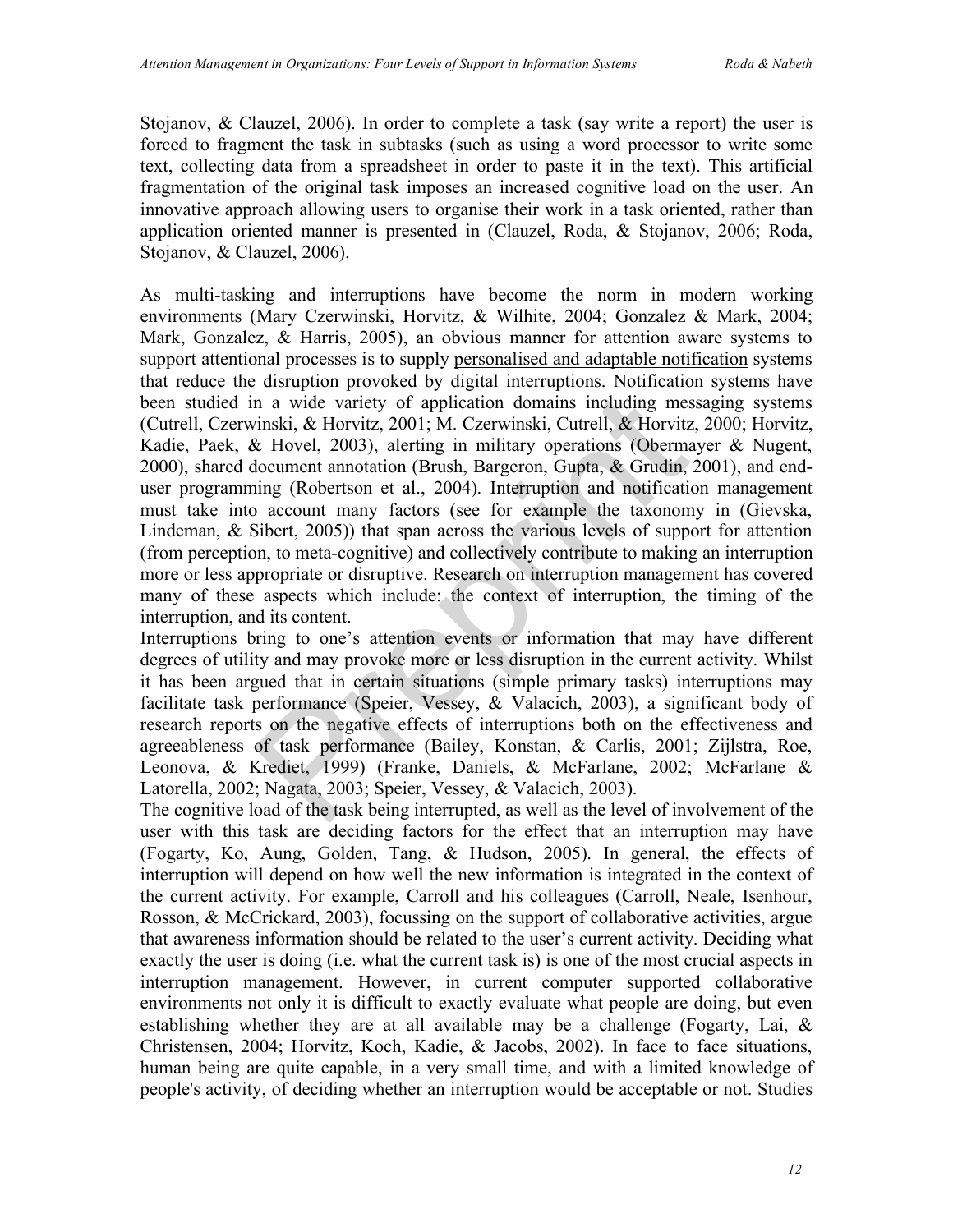Stojanov, & Clauzel, 2006). In order to complete a task (say write a report) the user is forced to fragment the task in subtasks (such as using a word processor to write some text, collecting data from a spreadsheet in order to paste it in the text). This artificial fragmentation of the original task imposes an increased cognitive load on the user. An innovative approach allowing users to organise their work in a task oriented, rather than application oriented manner is presented in (Clauzel, Roda, & Stojanov, 2006; Roda, Stojanov, & Clauzel, 2006).

As multi-tasking and interruptions have become the norm in modern working environments (Mary Czerwinski, Horvitz, & Wilhite, 2004; Gonzalez & Mark, 2004; Mark, Gonzalez, & Harris, 2005), an obvious manner for attention aware systems to support attentional processes is to supply personalised and adaptable notification systems that reduce the disruption provoked by digital interruptions. Notification systems have been studied in a wide variety of application domains including messaging systems (Cutrell, Czerwinski, & Horvitz, 2001; M. Czerwinski, Cutrell, & Horvitz, 2000; Horvitz, Kadie, Paek, & Hovel, 2003), alerting in military operations (Obermayer & Nugent, 2000), shared document annotation (Brush, Bargeron, Gupta, & Grudin, 2001), and enduser programming (Robertson et al., 2004). Interruption and notification management must take into account many factors (see for example the taxonomy in (Gievska, Lindeman, & Sibert, 2005)) that span across the various levels of support for attention (from perception, to meta-cognitive) and collectively contribute to making an interruption more or less appropriate or disruptive. Research on interruption management has covered many of these aspects which include: the context of interruption, the timing of the interruption, and its content. in a wide variety of application domains including mestinski, & Horvitz, 2001; M. Czerwinski, Cutrell, & Horvitz & Horvitz, 2003), alerting in military operations (Oberma locument annotation (Brush, Bargeron, Gupta, & Gru

Interruptions bring to one's attention events or information that may have different degrees of utility and may provoke more or less disruption in the current activity. Whilst it has been argued that in certain situations (simple primary tasks) interruptions may facilitate task performance (Speier, Vessey, & Valacich, 2003), a significant body of research reports on the negative effects of interruptions both on the effectiveness and agreeableness of task performance (Bailey, Konstan, & Carlis, 2001; Zijlstra, Roe, Leonova, & Krediet, 1999) (Franke, Daniels, & McFarlane, 2002; McFarlane & Latorella, 2002; Nagata, 2003; Speier, Vessey, & Valacich, 2003).

The cognitive load of the task being interrupted, as well as the level of involvement of the user with this task are deciding factors for the effect that an interruption may have (Fogarty, Ko, Aung, Golden, Tang, & Hudson, 2005). In general, the effects of interruption will depend on how well the new information is integrated in the context of the current activity. For example, Carroll and his colleagues (Carroll, Neale, Isenhour, Rosson, & McCrickard, 2003), focussing on the support of collaborative activities, argue that awareness information should be related to the user's current activity. Deciding what exactly the user is doing (i.e. what the current task is) is one of the most crucial aspects in interruption management. However, in current computer supported collaborative environments not only it is difficult to exactly evaluate what people are doing, but even establishing whether they are at all available may be a challenge (Fogarty, Lai,  $\&$ Christensen, 2004; Horvitz, Koch, Kadie, & Jacobs, 2002). In face to face situations, human being are quite capable, in a very small time, and with a limited knowledge of people's activity, of deciding whether an interruption would be acceptable or not. Studies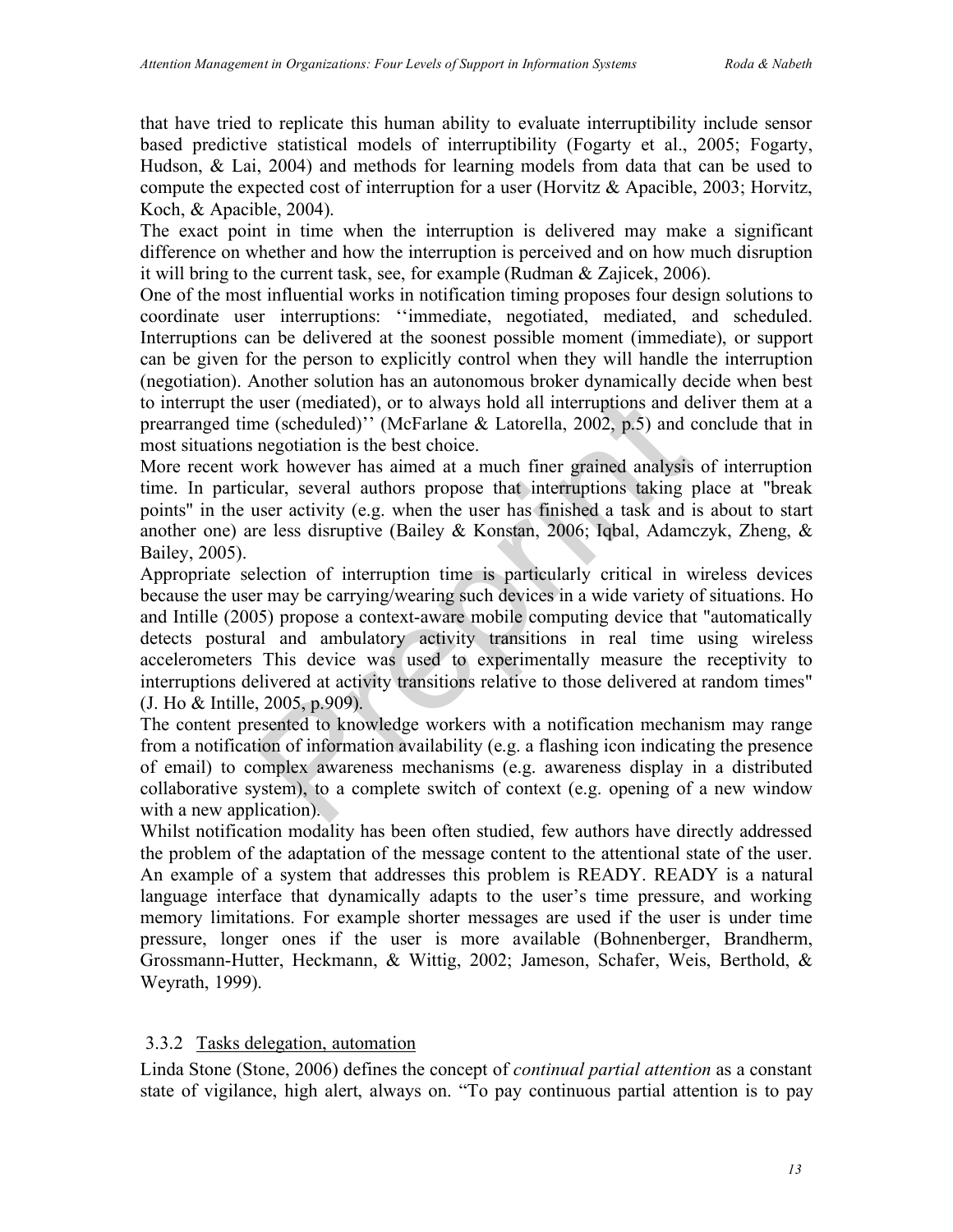that have tried to replicate this human ability to evaluate interruptibility include sensor based predictive statistical models of interruptibility (Fogarty et al., 2005; Fogarty, Hudson, & Lai, 2004) and methods for learning models from data that can be used to compute the expected cost of interruption for a user (Horvitz & Apacible, 2003; Horvitz, Koch, & Apacible, 2004).

The exact point in time when the interruption is delivered may make a significant difference on whether and how the interruption is perceived and on how much disruption it will bring to the current task, see, for example (Rudman & Zajicek, 2006).

One of the most influential works in notification timing proposes four design solutions to coordinate user interruptions: ''immediate, negotiated, mediated, and scheduled. Interruptions can be delivered at the soonest possible moment (immediate), or support can be given for the person to explicitly control when they will handle the interruption (negotiation). Another solution has an autonomous broker dynamically decide when best to interrupt the user (mediated), or to always hold all interruptions and deliver them at a prearranged time (scheduled)'' (McFarlane & Latorella, 2002, p.5) and conclude that in most situations negotiation is the best choice.

More recent work however has aimed at a much finer grained analysis of interruption time. In particular, several authors propose that interruptions taking place at "break points" in the user activity (e.g. when the user has finished a task and is about to start another one) are less disruptive (Bailey & Konstan, 2006; Iqbal, Adamczyk, Zheng, & Bailey, 2005).

Appropriate selection of interruption time is particularly critical in wireless devices because the user may be carrying/wearing such devices in a wide variety of situations. Ho and Intille (2005) propose a context-aware mobile computing device that "automatically detects postural and ambulatory activity transitions in real time using wireless accelerometers This device was used to experimentally measure the receptivity to interruptions delivered at activity transitions relative to those delivered at random times" (J. Ho & Intille, 2005, p.909). user (mediated), or to always hold all interruptions and de (scheduled)" (McFarlane & Latorella, 2002, p.5) and negotiation is the best choice.<br>
ork however has aimed at a much finer grained analysis ular, several authors

The content presented to knowledge workers with a notification mechanism may range from a notification of information availability (e.g. a flashing icon indicating the presence of email) to complex awareness mechanisms (e.g. awareness display in a distributed collaborative system), to a complete switch of context (e.g. opening of a new window with a new application).

Whilst notification modality has been often studied, few authors have directly addressed the problem of the adaptation of the message content to the attentional state of the user. An example of a system that addresses this problem is READY. READY is a natural language interface that dynamically adapts to the user's time pressure, and working memory limitations. For example shorter messages are used if the user is under time pressure, longer ones if the user is more available (Bohnenberger, Brandherm, Grossmann-Hutter, Heckmann, & Wittig, 2002; Jameson, Schafer, Weis, Berthold, & Weyrath, 1999).

### 3.3.2 Tasks delegation, automation

Linda Stone (Stone, 2006) defines the concept of *continual partial attention* as a constant state of vigilance, high alert, always on. "To pay continuous partial attention is to pay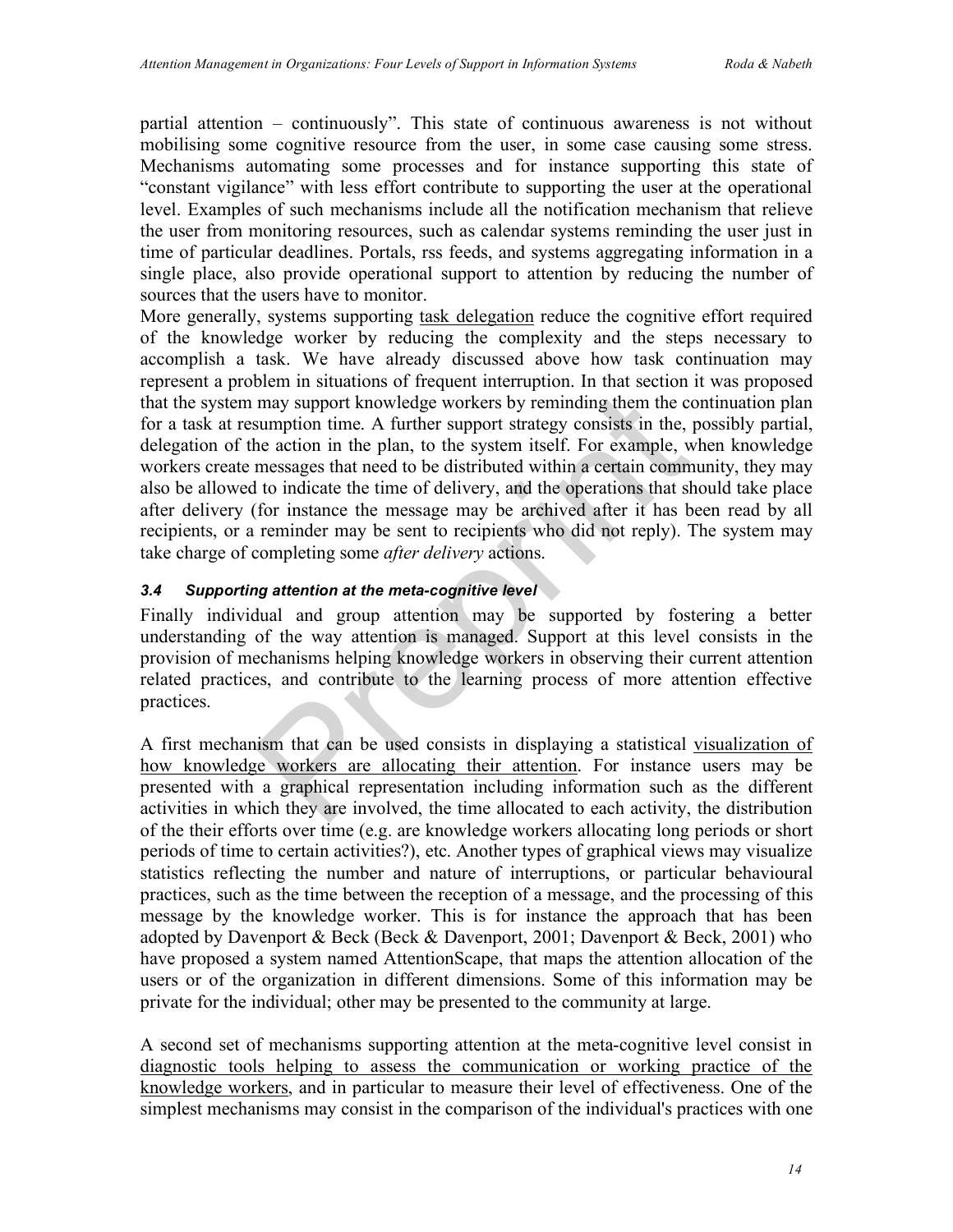partial attention – continuously". This state of continuous awareness is not without mobilising some cognitive resource from the user, in some case causing some stress. Mechanisms automating some processes and for instance supporting this state of "constant vigilance" with less effort contribute to supporting the user at the operational level. Examples of such mechanisms include all the notification mechanism that relieve the user from monitoring resources, such as calendar systems reminding the user just in time of particular deadlines. Portals, rss feeds, and systems aggregating information in a single place, also provide operational support to attention by reducing the number of sources that the users have to monitor.

More generally, systems supporting task delegation reduce the cognitive effort required of the knowledge worker by reducing the complexity and the steps necessary to accomplish a task. We have already discussed above how task continuation may represent a problem in situations of frequent interruption. In that section it was proposed that the system may support knowledge workers by reminding them the continuation plan for a task at resumption time. A further support strategy consists in the, possibly partial, delegation of the action in the plan, to the system itself. For example, when knowledge workers create messages that need to be distributed within a certain community, they may also be allowed to indicate the time of delivery, and the operations that should take place after delivery (for instance the message may be archived after it has been read by all recipients, or a reminder may be sent to recipients who did not reply). The system may take charge of completing some *after delivery* actions. may support knowledge workers by reminding them the c<br>sumption time. A further support strategy consists in the,<br>he action in the plan, to the system itself. For example, v<br>messages that need to be distributed within a cer

### *3.4 Supporting attention at the meta-cognitive level*

Finally individual and group attention may be supported by fostering a better understanding of the way attention is managed. Support at this level consists in the provision of mechanisms helping knowledge workers in observing their current attention related practices, and contribute to the learning process of more attention effective practices.

A first mechanism that can be used consists in displaying a statistical visualization of how knowledge workers are allocating their attention. For instance users may be presented with a graphical representation including information such as the different activities in which they are involved, the time allocated to each activity, the distribution of the their efforts over time (e.g. are knowledge workers allocating long periods or short periods of time to certain activities?), etc. Another types of graphical views may visualize statistics reflecting the number and nature of interruptions, or particular behavioural practices, such as the time between the reception of a message, and the processing of this message by the knowledge worker. This is for instance the approach that has been adopted by Davenport & Beck (Beck & Davenport, 2001; Davenport & Beck, 2001) who have proposed a system named AttentionScape, that maps the attention allocation of the users or of the organization in different dimensions. Some of this information may be private for the individual; other may be presented to the community at large.

A second set of mechanisms supporting attention at the meta-cognitive level consist in diagnostic tools helping to assess the communication or working practice of the knowledge workers, and in particular to measure their level of effectiveness. One of the simplest mechanisms may consist in the comparison of the individual's practices with one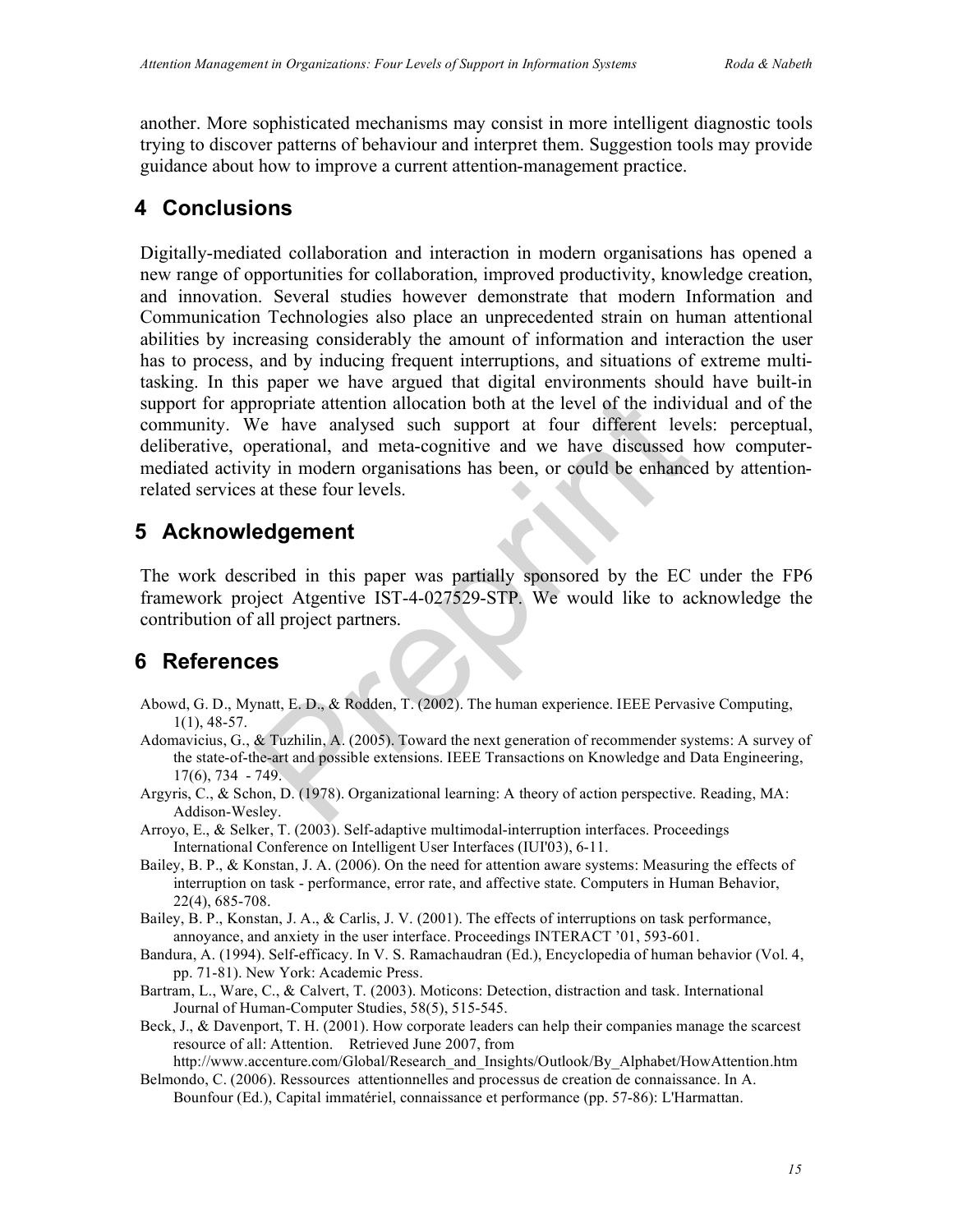another. More sophisticated mechanisms may consist in more intelligent diagnostic tools trying to discover patterns of behaviour and interpret them. Suggestion tools may provide guidance about how to improve a current attention-management practice.

### **4 Conclusions**

Digitally-mediated collaboration and interaction in modern organisations has opened a new range of opportunities for collaboration, improved productivity, knowledge creation, and innovation. Several studies however demonstrate that modern Information and Communication Technologies also place an unprecedented strain on human attentional abilities by increasing considerably the amount of information and interaction the user has to process, and by inducing frequent interruptions, and situations of extreme multitasking. In this paper we have argued that digital environments should have built-in support for appropriate attention allocation both at the level of the individual and of the community. We have analysed such support at four different levels: perceptual, deliberative, operational, and meta-cognitive and we have discussed how computermediated activity in modern organisations has been, or could be enhanced by attentionrelated services at these four levels. The movement and intervals are the real of the individual state in the sevel of the individual state analysed such support at four different lever the perational, and meta-cognitive and we have discussed ty in modern organ

# **5 Acknowledgement**

The work described in this paper was partially sponsored by the EC under the FP6 framework project Atgentive IST-4-027529-STP. We would like to acknowledge the contribution of all project partners.

# **6 References**

- Abowd, G. D., Mynatt, E. D., & Rodden, T. (2002). The human experience. IEEE Pervasive Computing, 1(1), 48-57.
- Adomavicius, G., & Tuzhilin, A. (2005). Toward the next generation of recommender systems: A survey of the state-of-the-art and possible extensions. IEEE Transactions on Knowledge and Data Engineering, 17(6), 734 - 749.
- Argyris, C., & Schon, D. (1978). Organizational learning: A theory of action perspective. Reading, MA: Addison-Wesley.
- Arroyo, E., & Selker, T. (2003). Self-adaptive multimodal-interruption interfaces. Proceedings International Conference on Intelligent User Interfaces (IUI'03), 6-11.
- Bailey, B. P., & Konstan, J. A. (2006). On the need for attention aware systems: Measuring the effects of interruption on task - performance, error rate, and affective state. Computers in Human Behavior, 22(4), 685-708.
- Bailey, B. P., Konstan, J. A., & Carlis, J. V. (2001). The effects of interruptions on task performance, annoyance, and anxiety in the user interface. Proceedings INTERACT '01, 593-601.
- Bandura, A. (1994). Self-efficacy. In V. S. Ramachaudran (Ed.), Encyclopedia of human behavior (Vol. 4, pp. 71-81). New York: Academic Press.
- Bartram, L., Ware, C., & Calvert, T. (2003). Moticons: Detection, distraction and task. International Journal of Human-Computer Studies, 58(5), 515-545.
- Beck, J., & Davenport, T. H. (2001). How corporate leaders can help their companies manage the scarcest resource of all: Attention. Retrieved June 2007, from

http://www.accenture.com/Global/Research\_and\_Insights/Outlook/By\_Alphabet/HowAttention.htm

Belmondo, C. (2006). Ressources attentionnelles and processus de creation de connaissance. In A. Bounfour (Ed.), Capital immatériel, connaissance et performance (pp. 57-86): L'Harmattan.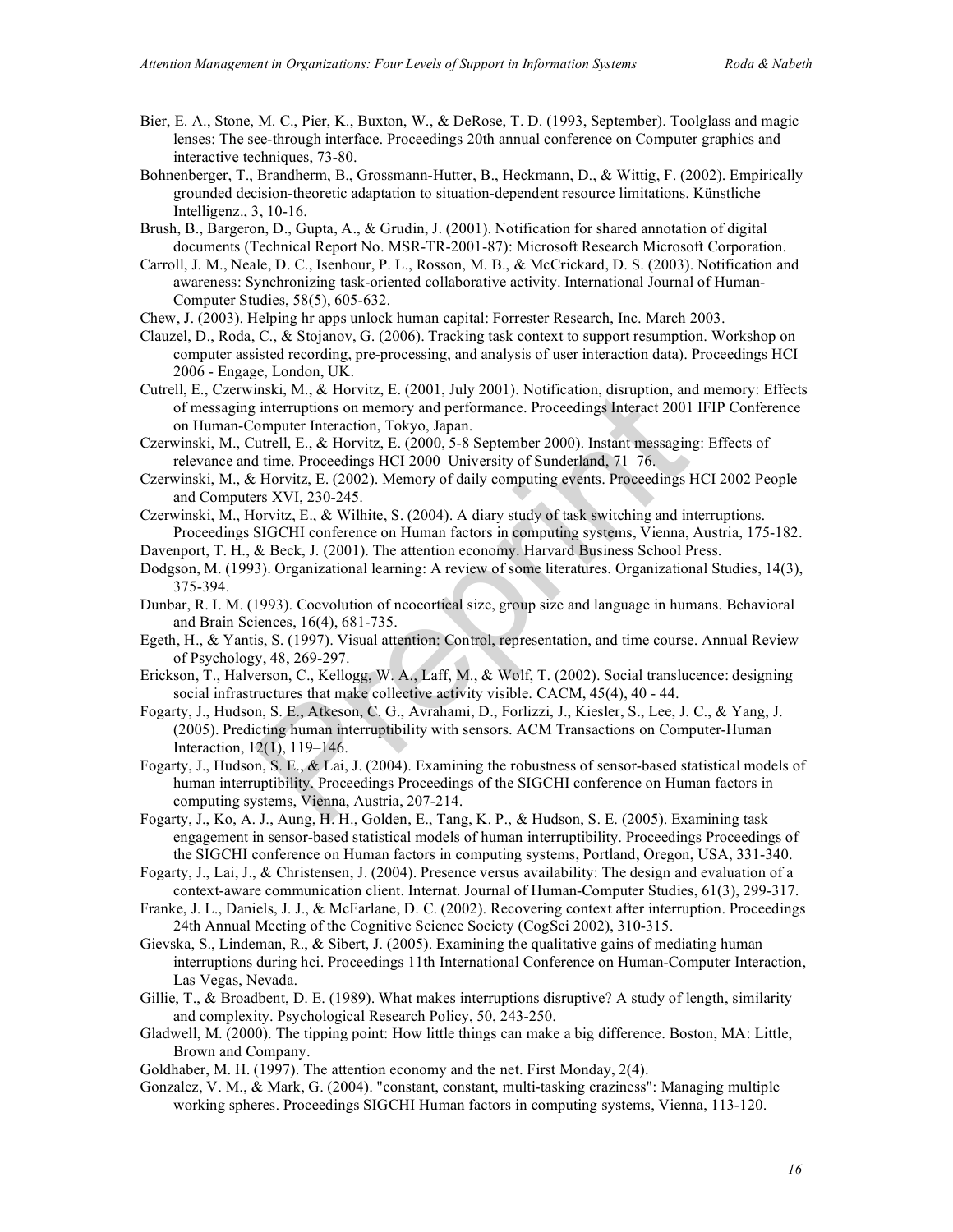- Bier, E. A., Stone, M. C., Pier, K., Buxton, W., & DeRose, T. D. (1993, September). Toolglass and magic lenses: The see-through interface. Proceedings 20th annual conference on Computer graphics and interactive techniques, 73-80.
- Bohnenberger, T., Brandherm, B., Grossmann-Hutter, B., Heckmann, D., & Wittig, F. (2002). Empirically grounded decision-theoretic adaptation to situation-dependent resource limitations. Künstliche Intelligenz., 3, 10-16.
- Brush, B., Bargeron, D., Gupta, A., & Grudin, J. (2001). Notification for shared annotation of digital documents (Technical Report No. MSR-TR-2001-87): Microsoft Research Microsoft Corporation.
- Carroll, J. M., Neale, D. C., Isenhour, P. L., Rosson, M. B., & McCrickard, D. S. (2003). Notification and awareness: Synchronizing task-oriented collaborative activity. International Journal of Human-Computer Studies, 58(5), 605-632.
- Chew, J. (2003). Helping hr apps unlock human capital: Forrester Research, Inc. March 2003.
- Clauzel, D., Roda, C., & Stojanov, G. (2006). Tracking task context to support resumption. Workshop on computer assisted recording, pre-processing, and analysis of user interaction data). Proceedings HCI 2006 - Engage, London, UK.
- Cutrell, E., Czerwinski, M., & Horvitz, E. (2001, July 2001). Notification, disruption, and memory: Effects of messaging interruptions on memory and performance. Proceedings Interact 2001 IFIP Conference on Human-Computer Interaction, Tokyo, Japan.
- Czerwinski, M., Cutrell, E., & Horvitz, E. (2000, 5-8 September 2000). Instant messaging: Effects of relevance and time. Proceedings HCI 2000 University of Sunderland, 71–76.
- Czerwinski, M., & Horvitz, E. (2002). Memory of daily computing events. Proceedings HCI 2002 People and Computers XVI, 230-245.
- Czerwinski, M., Horvitz, E., & Wilhite, S. (2004). A diary study of task switching and interruptions. Proceedings SIGCHI conference on Human factors in computing systems, Vienna, Austria, 175-182.
- Davenport, T. H., & Beck, J. (2001). The attention economy. Harvard Business School Press.
- Dodgson, M. (1993). Organizational learning: A review of some literatures. Organizational Studies, 14(3), 375-394.
- Dunbar, R. I. M. (1993). Coevolution of neocortical size, group size and language in humans. Behavioral and Brain Sciences, 16(4), 681-735.
- Egeth, H., & Yantis, S. (1997). Visual attention: Control, representation, and time course. Annual Review of Psychology, 48, 269-297.
- Erickson, T., Halverson, C., Kellogg, W. A., Laff, M., & Wolf, T. (2002). Social translucence: designing social infrastructures that make collective activity visible. CACM, 45(4), 40 - 44.
- Fogarty, J., Hudson, S. E., Atkeson, C. G., Avrahami, D., Forlizzi, J., Kiesler, S., Lee, J. C., & Yang, J. (2005). Predicting human interruptibility with sensors. ACM Transactions on Computer-Human Interaction, 12(1), 119–146. mski, M., & Horvitz, E. (2001, July 2001). Nonfication, distuption, an<br>interruptions on memory and performance. Proceedings Interact 2001<br>turell, E., & Horvitz, E. (2000, 5-8 September 2000). Instant messagin<br>time. Proceed
- Fogarty, J., Hudson, S. E., & Lai, J. (2004). Examining the robustness of sensor-based statistical models of human interruptibility. Proceedings Proceedings of the SIGCHI conference on Human factors in computing systems, Vienna, Austria, 207-214.
- Fogarty, J., Ko, A. J., Aung, H. H., Golden, E., Tang, K. P., & Hudson, S. E. (2005). Examining task engagement in sensor-based statistical models of human interruptibility. Proceedings Proceedings of the SIGCHI conference on Human factors in computing systems, Portland, Oregon, USA, 331-340.
- Fogarty, J., Lai, J., & Christensen, J. (2004). Presence versus availability: The design and evaluation of a context-aware communication client. Internat. Journal of Human-Computer Studies, 61(3), 299-317.
- Franke, J. L., Daniels, J. J., & McFarlane, D. C. (2002). Recovering context after interruption. Proceedings 24th Annual Meeting of the Cognitive Science Society (CogSci 2002), 310-315.
- Gievska, S., Lindeman, R., & Sibert, J. (2005). Examining the qualitative gains of mediating human interruptions during hci. Proceedings 11th International Conference on Human-Computer Interaction, Las Vegas, Nevada.
- Gillie, T., & Broadbent, D. E. (1989). What makes interruptions disruptive? A study of length, similarity and complexity. Psychological Research Policy, 50, 243-250.
- Gladwell, M. (2000). The tipping point: How little things can make a big difference. Boston, MA: Little, Brown and Company.
- Goldhaber, M. H. (1997). The attention economy and the net. First Monday, 2(4).
- Gonzalez, V. M., & Mark, G. (2004). "constant, constant, multi-tasking craziness": Managing multiple working spheres. Proceedings SIGCHI Human factors in computing systems, Vienna, 113-120.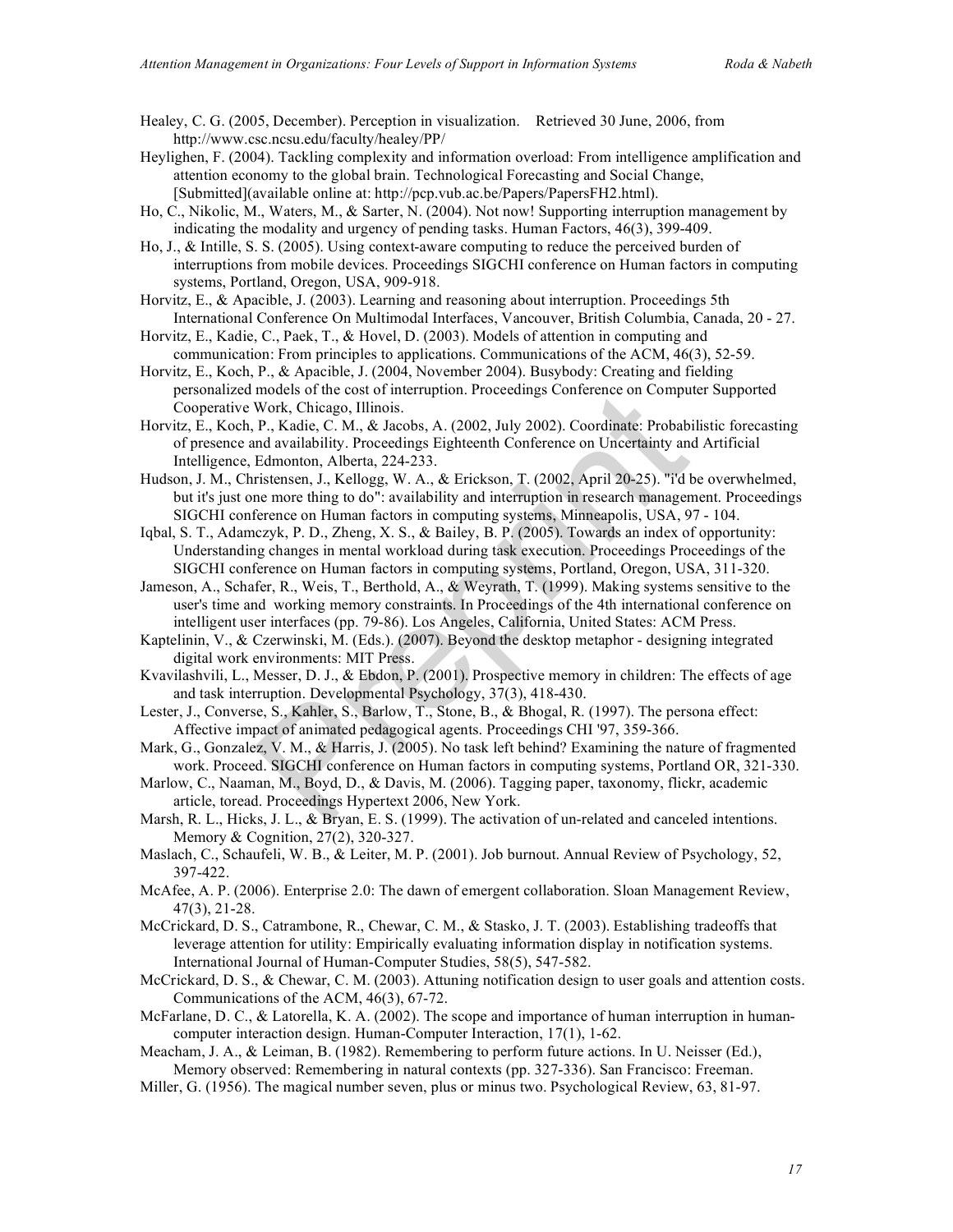Healey, C. G. (2005, December). Perception in visualization. Retrieved 30 June, 2006, from http://www.csc.ncsu.edu/faculty/healey/PP/

- Heylighen, F. (2004). Tackling complexity and information overload: From intelligence amplification and attention economy to the global brain. Technological Forecasting and Social Change, [Submitted](available online at: http://pcp.vub.ac.be/Papers/PapersFH2.html).
- Ho, C., Nikolic, M., Waters, M., & Sarter, N. (2004). Not now! Supporting interruption management by indicating the modality and urgency of pending tasks. Human Factors, 46(3), 399-409.
- Ho, J., & Intille, S. S. (2005). Using context-aware computing to reduce the perceived burden of interruptions from mobile devices. Proceedings SIGCHI conference on Human factors in computing systems, Portland, Oregon, USA, 909-918.
- Horvitz, E., & Apacible, J. (2003). Learning and reasoning about interruption. Proceedings 5th International Conference On Multimodal Interfaces, Vancouver, British Columbia, Canada, 20 - 27.
- Horvitz, E., Kadie, C., Paek, T., & Hovel, D. (2003). Models of attention in computing and communication: From principles to applications. Communications of the ACM, 46(3), 52-59.
- Horvitz, E., Koch, P., & Apacible, J. (2004, November 2004). Busybody: Creating and fielding personalized models of the cost of interruption. Proceedings Conference on Computer Supported Cooperative Work, Chicago, Illinois.
- Horvitz, E., Koch, P., Kadie, C. M., & Jacobs, A. (2002, July 2002). Coordinate: Probabilistic forecasting of presence and availability. Proceedings Eighteenth Conference on Uncertainty and Artificial Intelligence, Edmonton, Alberta, 224-233.
- Hudson, J. M., Christensen, J., Kellogg, W. A., & Erickson, T. (2002, April 20-25). "i'd be overwhelmed, but it's just one more thing to do": availability and interruption in research management. Proceedings SIGCHI conference on Human factors in computing systems, Minneapolis, USA, 97 - 104.
- Iqbal, S. T., Adamczyk, P. D., Zheng, X. S., & Bailey, B. P. (2005). Towards an index of opportunity: Understanding changes in mental workload during task execution. Proceedings Proceedings of the SIGCHI conference on Human factors in computing systems, Portland, Oregon, USA, 311-320.
- Jameson, A., Schafer, R., Weis, T., Berthold, A., & Weyrath, T. (1999). Making systems sensitive to the user's time and working memory constraints. In Proceedings of the 4th international conference on intelligent user interfaces (pp. 79-86). Los Angeles, California, United States: ACM Press. modes or the cost or intertuption. Proceedings Conference on Compu<br>
Work, Chicago, Illinois.<br>
P., Kadie, C. M., & Jacobs, A. (2002, July 2002). Coordinate: Probab<br>
Individual availability. Proceedings Eighteenth Conference
- Kaptelinin, V., & Czerwinski, M. (Eds.). (2007). Beyond the desktop metaphor designing integrated digital work environments: MIT Press.
- Kvavilashvili, L., Messer, D. J., & Ebdon, P. (2001). Prospective memory in children: The effects of age and task interruption. Developmental Psychology, 37(3), 418-430.
- Lester, J., Converse, S., Kahler, S., Barlow, T., Stone, B., & Bhogal, R. (1997). The persona effect: Affective impact of animated pedagogical agents. Proceedings CHI '97, 359-366.
- Mark, G., Gonzalez, V. M., & Harris, J. (2005). No task left behind? Examining the nature of fragmented work. Proceed. SIGCHI conference on Human factors in computing systems, Portland OR, 321-330.
- Marlow, C., Naaman, M., Boyd, D., & Davis, M. (2006). Tagging paper, taxonomy, flickr, academic article, toread. Proceedings Hypertext 2006, New York.
- Marsh, R. L., Hicks, J. L., & Bryan, E. S. (1999). The activation of un-related and canceled intentions. Memory & Cognition, 27(2), 320-327.
- Maslach, C., Schaufeli, W. B., & Leiter, M. P. (2001). Job burnout. Annual Review of Psychology, 52, 397-422.
- McAfee, A. P. (2006). Enterprise 2.0: The dawn of emergent collaboration. Sloan Management Review, 47(3), 21-28.
- McCrickard, D. S., Catrambone, R., Chewar, C. M., & Stasko, J. T. (2003). Establishing tradeoffs that leverage attention for utility: Empirically evaluating information display in notification systems. International Journal of Human-Computer Studies, 58(5), 547-582.
- McCrickard, D. S., & Chewar, C. M. (2003). Attuning notification design to user goals and attention costs. Communications of the ACM, 46(3), 67-72.
- McFarlane, D. C., & Latorella, K. A. (2002). The scope and importance of human interruption in humancomputer interaction design. Human-Computer Interaction, 17(1), 1-62.
- Meacham, J. A., & Leiman, B. (1982). Remembering to perform future actions. In U. Neisser (Ed.), Memory observed: Remembering in natural contexts (pp. 327-336). San Francisco: Freeman.
- Miller, G. (1956). The magical number seven, plus or minus two. Psychological Review, 63, 81-97.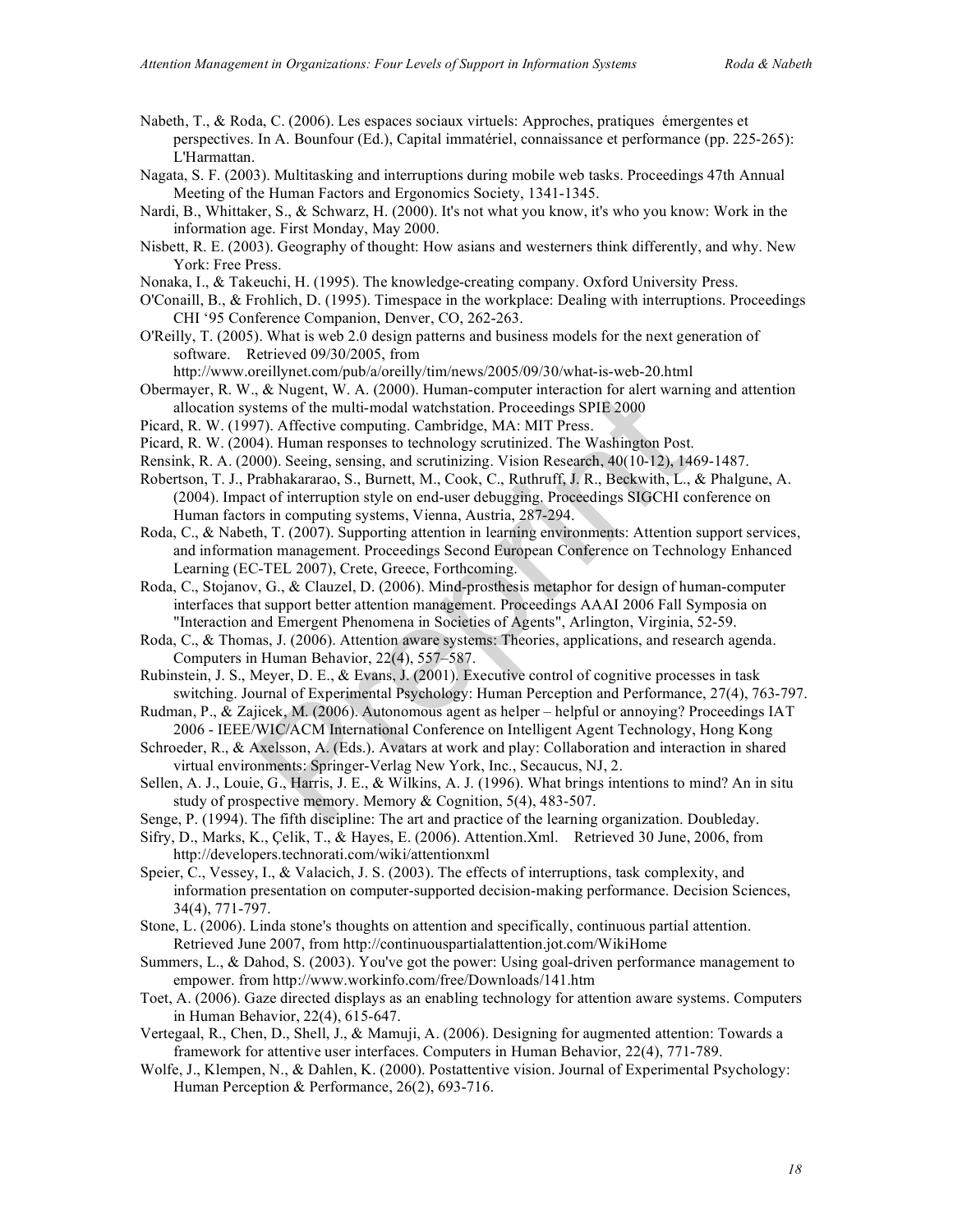Nabeth, T., & Roda, C. (2006). Les espaces sociaux virtuels: Approches, pratiques émergentes et perspectives. In A. Bounfour (Ed.), Capital immatériel, connaissance et performance (pp. 225-265): L'Harmattan.

- Nagata, S. F. (2003). Multitasking and interruptions during mobile web tasks. Proceedings 47th Annual Meeting of the Human Factors and Ergonomics Society, 1341-1345.
- Nardi, B., Whittaker, S., & Schwarz, H. (2000). It's not what you know, it's who you know: Work in the information age. First Monday, May 2000.
- Nisbett, R. E. (2003). Geography of thought: How asians and westerners think differently, and why. New York: Free Press.
- Nonaka, I., & Takeuchi, H. (1995). The knowledge-creating company. Oxford University Press.
- O'Conaill, B., & Frohlich, D. (1995). Timespace in the workplace: Dealing with interruptions. Proceedings CHI '95 Conference Companion, Denver, CO, 262-263.
- O'Reilly, T. (2005). What is web 2.0 design patterns and business models for the next generation of software. Retrieved 09/30/2005, from

http://www.oreillynet.com/pub/a/oreilly/tim/news/2005/09/30/what-is-web-20.html

- Obermayer, R. W., & Nugent, W. A. (2000). Human-computer interaction for alert warning and attention allocation systems of the multi-modal watchstation. Proceedings SPIE 2000
- Picard, R. W. (1997). Affective computing. Cambridge, MA: MIT Press.
- Picard, R. W. (2004). Human responses to technology scrutinized. The Washington Post.
- Rensink, R. A. (2000). Seeing, sensing, and scrutinizing. Vision Research, 40(10-12), 1469-1487.
- Robertson, T. J., Prabhakararao, S., Burnett, M., Cook, C., Ruthruff, J. R., Beckwith, L., & Phalgune, A. (2004). Impact of interruption style on end-user debugging. Proceedings SIGCHI conference on Human factors in computing systems, Vienna, Austria, 287-294.
- Roda, C., & Nabeth, T. (2007). Supporting attention in learning environments: Attention support services, and information management. Proceedings Second European Conference on Technology Enhanced Learning (EC-TEL 2007), Crete, Greece, Forthcoming. , & Nugent, w. A. (2000). Human-computer interaction for aiert warn<br>terms of the multi-modal watchstation. Proceedings SPIE 2000<br>77). Affective computing. Cambridge, MA: MIT Press.<br>49). Human responses to technology scruti
- Roda, C., Stojanov, G., & Clauzel, D. (2006). Mind-prosthesis metaphor for design of human-computer interfaces that support better attention management. Proceedings AAAI 2006 Fall Symposia on "Interaction and Emergent Phenomena in Societies of Agents", Arlington, Virginia, 52-59.
- Roda, C., & Thomas, J. (2006). Attention aware systems: Theories, applications, and research agenda. Computers in Human Behavior, 22(4), 557–587.
- Rubinstein, J. S., Meyer, D. E., & Evans, J. (2001). Executive control of cognitive processes in task switching. Journal of Experimental Psychology: Human Perception and Performance, 27(4), 763-797.
- Rudman, P., & Zajicek, M. (2006). Autonomous agent as helper helpful or annoying? Proceedings IAT 2006 - IEEE/WIC/ACM International Conference on Intelligent Agent Technology, Hong Kong
- Schroeder, R., & Axelsson, A. (Eds.). Avatars at work and play: Collaboration and interaction in shared virtual environments: Springer-Verlag New York, Inc., Secaucus, NJ, 2.
- Sellen, A. J., Louie, G., Harris, J. E., & Wilkins, A. J. (1996). What brings intentions to mind? An in situ study of prospective memory. Memory & Cognition, 5(4), 483-507.
- Senge, P. (1994). The fifth discipline: The art and practice of the learning organization. Doubleday.
- Sifry, D., Marks, K., Çelik, T., & Hayes, E. (2006). Attention.Xml. Retrieved 30 June, 2006, from http://developers.technorati.com/wiki/attentionxml
- Speier, C., Vessey, I., & Valacich, J. S. (2003). The effects of interruptions, task complexity, and information presentation on computer-supported decision-making performance. Decision Sciences, 34(4), 771-797.
- Stone, L. (2006). Linda stone's thoughts on attention and specifically, continuous partial attention. Retrieved June 2007, from http://continuouspartialattention.jot.com/WikiHome
- Summers, L., & Dahod, S. (2003). You've got the power: Using goal-driven performance management to empower. from http://www.workinfo.com/free/Downloads/141.htm
- Toet, A. (2006). Gaze directed displays as an enabling technology for attention aware systems. Computers in Human Behavior, 22(4), 615-647.
- Vertegaal, R., Chen, D., Shell, J., & Mamuji, A. (2006). Designing for augmented attention: Towards a framework for attentive user interfaces. Computers in Human Behavior, 22(4), 771-789.
- Wolfe, J., Klempen, N., & Dahlen, K. (2000). Postattentive vision. Journal of Experimental Psychology: Human Perception & Performance, 26(2), 693-716.